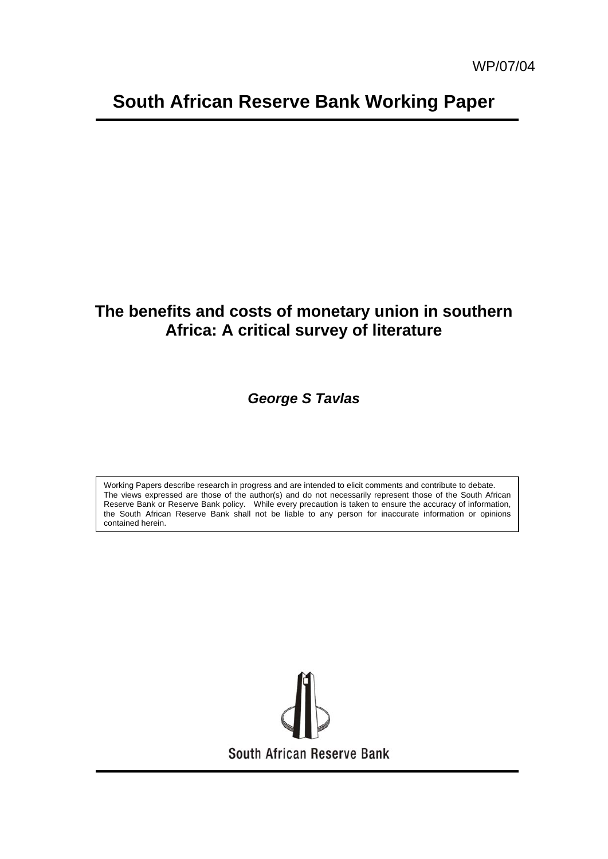# **South African Reserve Bank Working Paper**

## **The benefits and costs of monetary union in southern Africa: A critical survey of literature**

*George S Tavlas* 

Working Papers describe research in progress and are intended to elicit comments and contribute to debate. The views expressed are those of the author(s) and do not necessarily represent those of the South African Reserve Bank or Reserve Bank policy. While every precaution is taken to ensure the accuracy of information, the South African Reserve Bank shall not be liable to any person for inaccurate information or opinions contained herein.

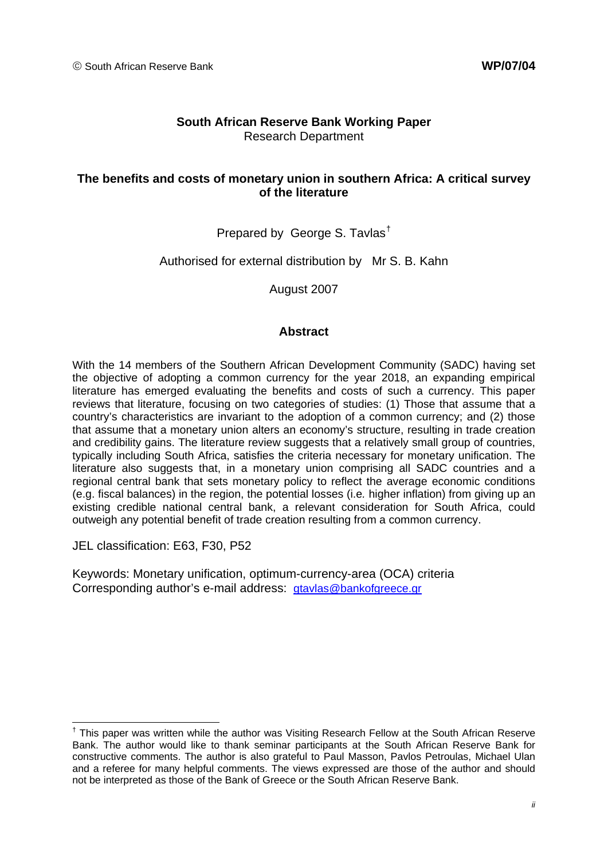#### **South African Reserve Bank Working Paper**  Research Department

#### **The benefits and costs of monetary union in southern Africa: A critical survey of the literature**

#### Prepared by George S. Tavlas[†](#page-1-0)

#### Authorised for external distribution by Mr S. B. Kahn

August 2007

#### **Abstract**

With the 14 members of the Southern African Development Community (SADC) having set the objective of adopting a common currency for the year 2018, an expanding empirical literature has emerged evaluating the benefits and costs of such a currency. This paper reviews that literature, focusing on two categories of studies: (1) Those that assume that a country's characteristics are invariant to the adoption of a common currency; and (2) those that assume that a monetary union alters an economy's structure, resulting in trade creation and credibility gains. The literature review suggests that a relatively small group of countries, typically including South Africa, satisfies the criteria necessary for monetary unification. The literature also suggests that, in a monetary union comprising all SADC countries and a regional central bank that sets monetary policy to reflect the average economic conditions (e.g. fiscal balances) in the region, the potential losses (i.e*.* higher inflation) from giving up an existing credible national central bank, a relevant consideration for South Africa, could outweigh any potential benefit of trade creation resulting from a common currency.

JEL classification: E63, F30, P52

Keywords: Monetary unification, optimum-currency-area (OCA) criteria Corresponding author's e-mail address: [gtavlas@bankofgreece.gr](mailto:gtavlas@bankofgreece.gr)

<span id="page-1-0"></span><sup>-</sup><sup>†</sup> This paper was written while the author was Visiting Research Fellow at the South African Reserve Bank. The author would like to thank seminar participants at the South African Reserve Bank for constructive comments. The author is also grateful to Paul Masson, Pavlos Petroulas, Michael Ulan and a referee for many helpful comments. The views expressed are those of the author and should not be interpreted as those of the Bank of Greece or the South African Reserve Bank.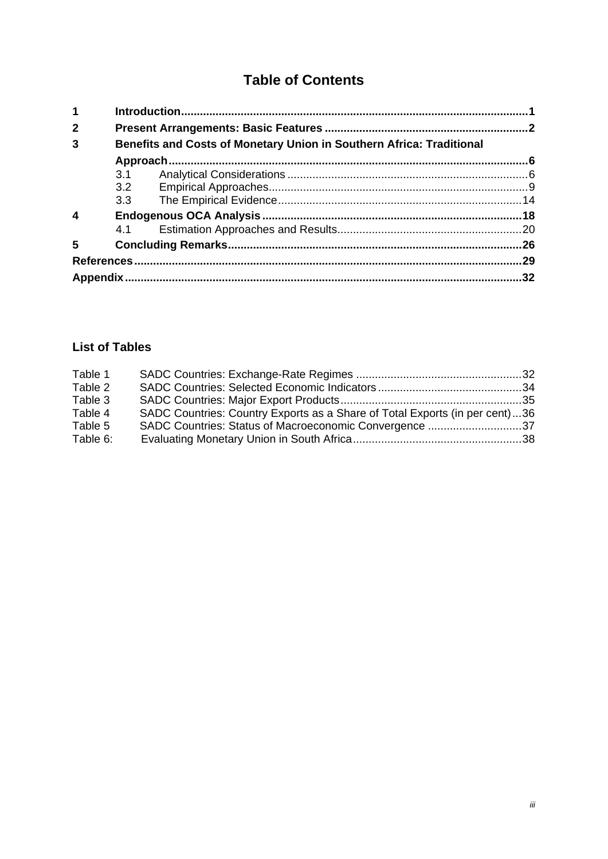## **Table of Contents**

| 1                       |     |                                                                      |     |  |  |  |  |  |
|-------------------------|-----|----------------------------------------------------------------------|-----|--|--|--|--|--|
| $\mathbf{2}$            |     |                                                                      |     |  |  |  |  |  |
| 3                       |     | Benefits and Costs of Monetary Union in Southern Africa: Traditional |     |  |  |  |  |  |
|                         |     |                                                                      |     |  |  |  |  |  |
|                         | 3.1 |                                                                      |     |  |  |  |  |  |
|                         |     |                                                                      |     |  |  |  |  |  |
|                         |     |                                                                      |     |  |  |  |  |  |
| $\overline{\mathbf{4}}$ |     |                                                                      |     |  |  |  |  |  |
|                         | 4.1 |                                                                      |     |  |  |  |  |  |
| $5\phantom{1}$          |     |                                                                      | 26  |  |  |  |  |  |
|                         |     |                                                                      | 29  |  |  |  |  |  |
|                         |     |                                                                      | .32 |  |  |  |  |  |

## **List of Tables**

| Table 1  |                                                                             |  |
|----------|-----------------------------------------------------------------------------|--|
| Table 2  |                                                                             |  |
| Table 3  |                                                                             |  |
| Table 4  | SADC Countries: Country Exports as a Share of Total Exports (in per cent)36 |  |
| Table 5  | SADC Countries: Status of Macroeconomic Convergence 37                      |  |
| Table 6: |                                                                             |  |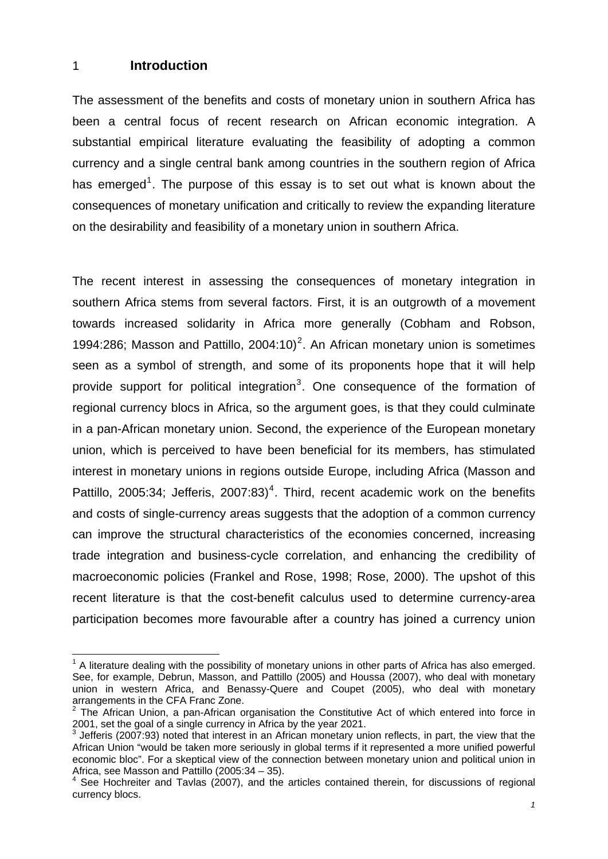#### <span id="page-3-0"></span>1 **Introduction**

-

The assessment of the benefits and costs of monetary union in southern Africa has been a central focus of recent research on African economic integration. A substantial empirical literature evaluating the feasibility of adopting a common currency and a single central bank among countries in the southern region of Africa has emerged<sup>[1](#page-3-1)</sup>. The purpose of this essay is to set out what is known about the consequences of monetary unification and critically to review the expanding literature on the desirability and feasibility of a monetary union in southern Africa.

The recent interest in assessing the consequences of monetary integration in southern Africa stems from several factors. First, it is an outgrowth of a movement towards increased solidarity in Africa more generally (Cobham and Robson, 1994:[2](#page-3-2)86; Masson and Pattillo,  $2004:10$ <sup>2</sup>. An African monetary union is sometimes seen as a symbol of strength, and some of its proponents hope that it will help provide support for political integration<sup>[3](#page-3-3)</sup>. One consequence of the formation of regional currency blocs in Africa, so the argument goes, is that they could culminate in a pan-African monetary union. Second, the experience of the European monetary union, which is perceived to have been beneficial for its members, has stimulated interest in monetary unions in regions outside Europe, including Africa (Masson and Pattillo, 2005:3[4](#page-3-4); Jefferis, 2007:83)<sup>4</sup>. Third, recent academic work on the benefits and costs of single-currency areas suggests that the adoption of a common currency can improve the structural characteristics of the economies concerned, increasing trade integration and business-cycle correlation, and enhancing the credibility of macroeconomic policies (Frankel and Rose, 1998; Rose, 2000). The upshot of this recent literature is that the cost-benefit calculus used to determine currency-area participation becomes more favourable after a country has joined a currency union

 $1$  A literature dealing with the possibility of monetary unions in other parts of Africa has also emerged. See, for example, Debrun, Masson, and Pattillo (2005) and Houssa (2007), who deal with monetary union in western Africa, and Benassy-Quere and Coupet (2005), who deal with monetary arrangements in the CFA Franc Zone.

<sup>2</sup> The African Union, a pan-African organisation the Constitutive Act of which entered into force in 2001, set the goal of a single currency in Africa by the year 2021.

 $3$  Jefferis (2007:93) noted that interest in an African monetary union reflects, in part, the view that the African Union "would be taken more seriously in global terms if it represented a more unified powerful economic bloc". For a skeptical view of the connection between monetary union and political union in Africa, see Masson and Pattillo (2005:34 – 35).

<span id="page-3-4"></span><span id="page-3-3"></span><span id="page-3-2"></span><span id="page-3-1"></span><sup>4</sup> See Hochreiter and Tavlas (2007), and the articles contained therein, for discussions of regional currency blocs.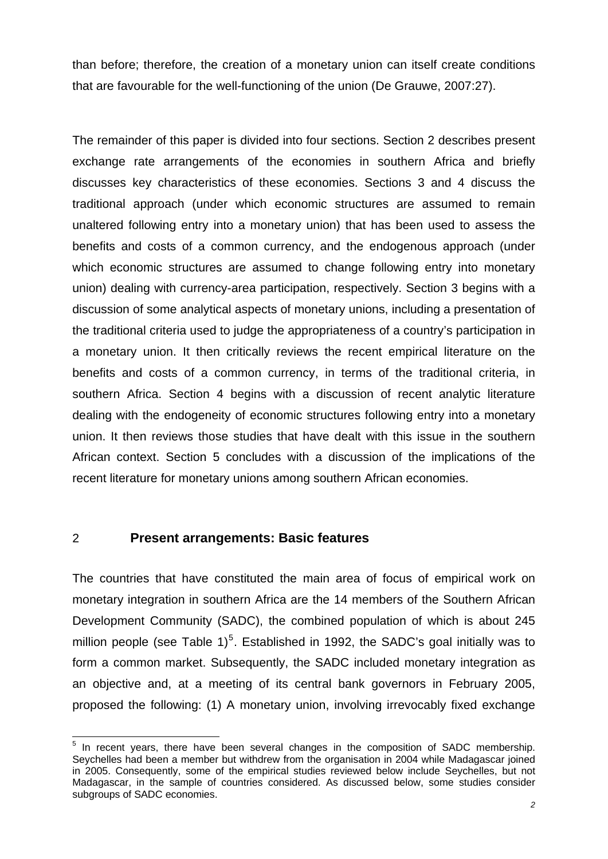<span id="page-4-0"></span>than before; therefore, the creation of a monetary union can itself create conditions that are favourable for the well-functioning of the union (De Grauwe, 2007:27).

The remainder of this paper is divided into four sections. Section 2 describes present exchange rate arrangements of the economies in southern Africa and briefly discusses key characteristics of these economies. Sections 3 and 4 discuss the traditional approach (under which economic structures are assumed to remain unaltered following entry into a monetary union) that has been used to assess the benefits and costs of a common currency, and the endogenous approach (under which economic structures are assumed to change following entry into monetary union) dealing with currency-area participation, respectively. Section 3 begins with a discussion of some analytical aspects of monetary unions, including a presentation of the traditional criteria used to judge the appropriateness of a country's participation in a monetary union. It then critically reviews the recent empirical literature on the benefits and costs of a common currency, in terms of the traditional criteria, in southern Africa. Section 4 begins with a discussion of recent analytic literature dealing with the endogeneity of economic structures following entry into a monetary union. It then reviews those studies that have dealt with this issue in the southern African context. Section 5 concludes with a discussion of the implications of the recent literature for monetary unions among southern African economies.

#### 2 **Present arrangements: Basic features**

The countries that have constituted the main area of focus of empirical work on monetary integration in southern Africa are the 14 members of the Southern African Development Community (SADC), the combined population of which is about 245 million people (see Table  $1)^5$  $1)^5$ . Established in 1992, the SADC's goal initially was to form a common market. Subsequently, the SADC included monetary integration as an objective and, at a meeting of its central bank governors in February 2005, proposed the following: (1) A monetary union, involving irrevocably fixed exchange

<span id="page-4-1"></span> 5 In recent years, there have been several changes in the composition of SADC membership. Seychelles had been a member but withdrew from the organisation in 2004 while Madagascar joined in 2005. Consequently, some of the empirical studies reviewed below include Seychelles, but not Madagascar, in the sample of countries considered. As discussed below, some studies consider subgroups of SADC economies.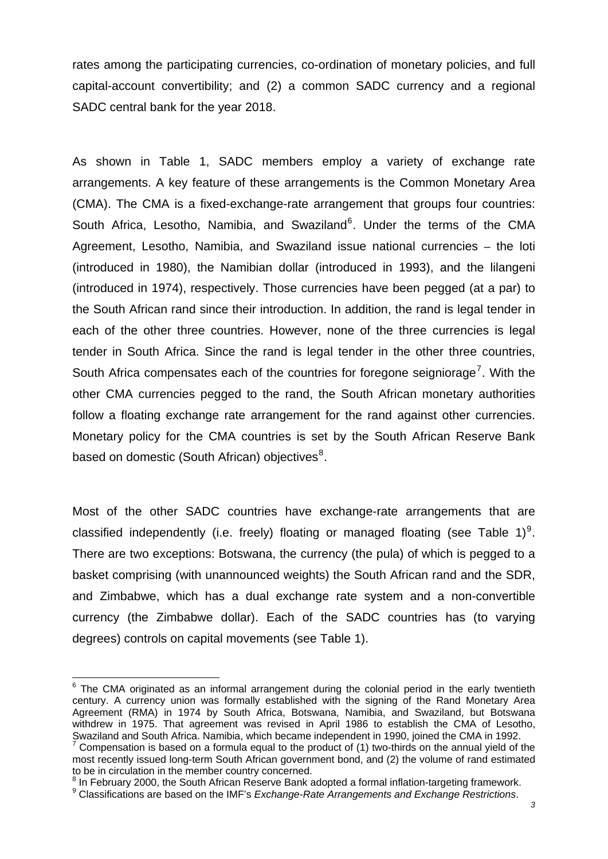rates among the participating currencies, co-ordination of monetary policies, and full capital-account convertibility; and (2) a common SADC currency and a regional SADC central bank for the year 2018.

As shown in Table 1, SADC members employ a variety of exchange rate arrangements. A key feature of these arrangements is the Common Monetary Area (CMA). The CMA is a fixed-exchange-rate arrangement that groups four countries: South Africa, Lesotho, Namibia, and Swaziland<sup>[6](#page-5-0)</sup>. Under the terms of the CMA Agreement, Lesotho, Namibia, and Swaziland issue national currencies – the loti (introduced in 1980), the Namibian dollar (introduced in 1993), and the lilangeni (introduced in 1974), respectively. Those currencies have been pegged (at a par) to the South African rand since their introduction. In addition, the rand is legal tender in each of the other three countries. However, none of the three currencies is legal tender in South Africa. Since the rand is legal tender in the other three countries, South Africa compensates each of the countries for foregone seigniorage<sup>[7](#page-5-1)</sup>. With the other CMA currencies pegged to the rand, the South African monetary authorities follow a floating exchange rate arrangement for the rand against other currencies. Monetary policy for the CMA countries is set by the South African Reserve Bank based on domestic (South African) objectives<sup>[8](#page-5-2)</sup>.

Most of the other SADC countries have exchange-rate arrangements that are classified independently (i.e. freely) floating or managed floating (see Table 1)<sup>[9](#page-5-3)</sup>. There are two exceptions: Botswana, the currency (the pula) of which is pegged to a basket comprising (with unannounced weights) the South African rand and the SDR, and Zimbabwe, which has a dual exchange rate system and a non-convertible currency (the Zimbabwe dollar). Each of the SADC countries has (to varying degrees) controls on capital movements (see Table 1).

<span id="page-5-0"></span> $6$  The CMA originated as an informal arrangement during the colonial period in the early twentieth century. A currency union was formally established with the signing of the Rand Monetary Area Agreement (RMA) in 1974 by South Africa, Botswana, Namibia, and Swaziland, but Botswana withdrew in 1975. That agreement was revised in April 1986 to establish the CMA of Lesotho, Swaziland and South Africa. Namibia, which became independent in 1990, joined the CMA in 1992. 7 Compensation is based on a formula equal to the product of (1) two-thirds on the annual yield of the

<span id="page-5-1"></span>most recently issued long-term South African government bond, and (2) the volume of rand estimated to be in circulation in the member country concerned.

<span id="page-5-2"></span><sup>&</sup>lt;sup>8</sup> In February 2000, the South African Reserve Bank adopted a formal inflation-targeting framework.

<span id="page-5-3"></span><sup>9</sup> Classifications are based on the IMF's *Exchange-Rate Arrangements and Exchange Restrictions*.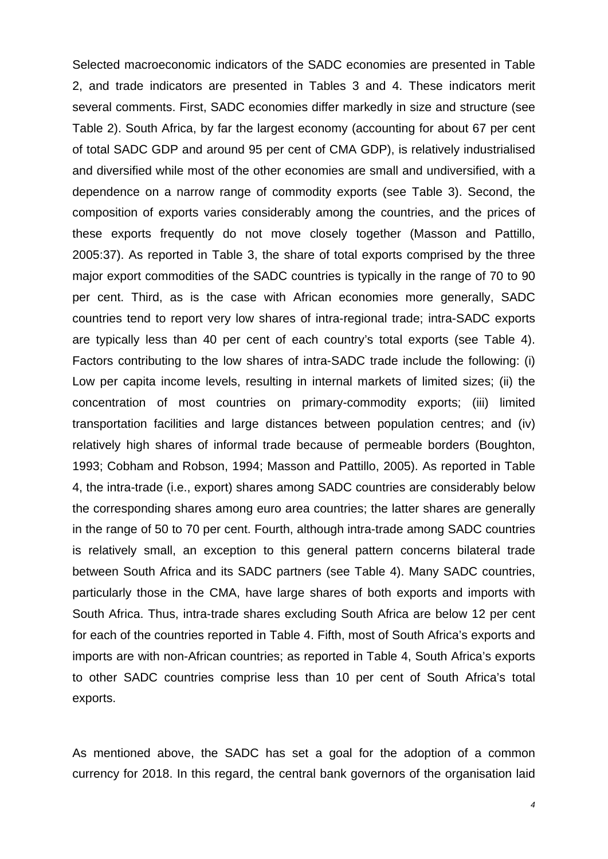Selected macroeconomic indicators of the SADC economies are presented in Table 2, and trade indicators are presented in Tables 3 and 4. These indicators merit several comments. First, SADC economies differ markedly in size and structure (see Table 2). South Africa, by far the largest economy (accounting for about 67 per cent of total SADC GDP and around 95 per cent of CMA GDP), is relatively industrialised and diversified while most of the other economies are small and undiversified, with a dependence on a narrow range of commodity exports (see Table 3). Second, the composition of exports varies considerably among the countries, and the prices of these exports frequently do not move closely together (Masson and Pattillo, 2005:37). As reported in Table 3, the share of total exports comprised by the three major export commodities of the SADC countries is typically in the range of 70 to 90 per cent. Third, as is the case with African economies more generally, SADC countries tend to report very low shares of intra-regional trade; intra-SADC exports are typically less than 40 per cent of each country's total exports (see Table 4). Factors contributing to the low shares of intra-SADC trade include the following: (i) Low per capita income levels, resulting in internal markets of limited sizes; (ii) the concentration of most countries on primary-commodity exports; (iii) limited transportation facilities and large distances between population centres; and (iv) relatively high shares of informal trade because of permeable borders (Boughton, 1993; Cobham and Robson, 1994; Masson and Pattillo, 2005). As reported in Table 4, the intra-trade (i.e., export) shares among SADC countries are considerably below the corresponding shares among euro area countries; the latter shares are generally in the range of 50 to 70 per cent. Fourth, although intra-trade among SADC countries is relatively small, an exception to this general pattern concerns bilateral trade between South Africa and its SADC partners (see Table 4). Many SADC countries, particularly those in the CMA, have large shares of both exports and imports with South Africa. Thus, intra-trade shares excluding South Africa are below 12 per cent for each of the countries reported in Table 4. Fifth, most of South Africa's exports and imports are with non-African countries; as reported in Table 4, South Africa's exports to other SADC countries comprise less than 10 per cent of South Africa's total exports.

As mentioned above, the SADC has set a goal for the adoption of a common currency for 2018. In this regard, the central bank governors of the organisation laid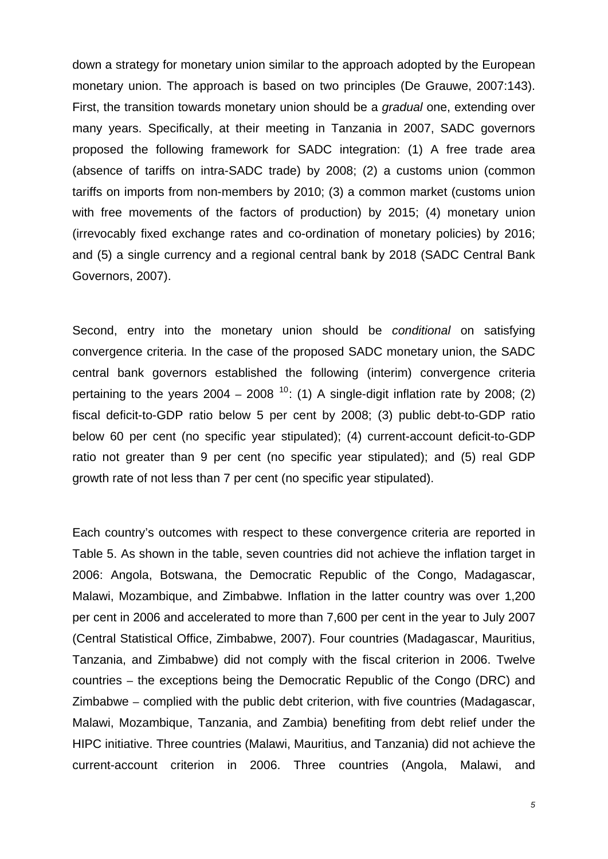down a strategy for monetary union similar to the approach adopted by the European monetary union. The approach is based on two principles (De Grauwe, 2007:143). First, the transition towards monetary union should be a *gradual* one, extending over many years. Specifically, at their meeting in Tanzania in 2007, SADC governors proposed the following framework for SADC integration: (1) A free trade area (absence of tariffs on intra-SADC trade) by 2008; (2) a customs union (common tariffs on imports from non-members by 2010; (3) a common market (customs union with free movements of the factors of production) by 2015; (4) monetary union (irrevocably fixed exchange rates and co-ordination of monetary policies) by 2016; and (5) a single currency and a regional central bank by 2018 (SADC Central Bank Governors, 2007).

Second, entry into the monetary union should be *conditional* on satisfying convergence criteria. In the case of the proposed SADC monetary union, the SADC central bank governors established the following (interim) convergence criteria pertaining to the years  $2004 - 2008$  <sup>[10](#page-7-0)</sup>: (1) A single-digit inflation rate by 2008; (2) fiscal deficit-to-GDP ratio below 5 per cent by 2008; (3) public debt-to-GDP ratio below 60 per cent (no specific year stipulated); (4) current-account deficit-to-GDP ratio not greater than 9 per cent (no specific year stipulated); and (5) real GDP growth rate of not less than 7 per cent (no specific year stipulated).

<span id="page-7-0"></span>Each country's outcomes with respect to these convergence criteria are reported in Table 5. As shown in the table, seven countries did not achieve the inflation target in 2006: Angola, Botswana, the Democratic Republic of the Congo, Madagascar, Malawi, Mozambique, and Zimbabwe. Inflation in the latter country was over 1,200 per cent in 2006 and accelerated to more than 7,600 per cent in the year to July 2007 (Central Statistical Office, Zimbabwe, 2007). Four countries (Madagascar, Mauritius, Tanzania, and Zimbabwe) did not comply with the fiscal criterion in 2006. Twelve countries – the exceptions being the Democratic Republic of the Congo (DRC) and Zimbabwe – complied with the public debt criterion, with five countries (Madagascar, Malawi, Mozambique, Tanzania, and Zambia) benefiting from debt relief under the HIPC initiative. Three countries (Malawi, Mauritius, and Tanzania) did not achieve the current-account criterion in 2006. Three countries (Angola, Malawi, and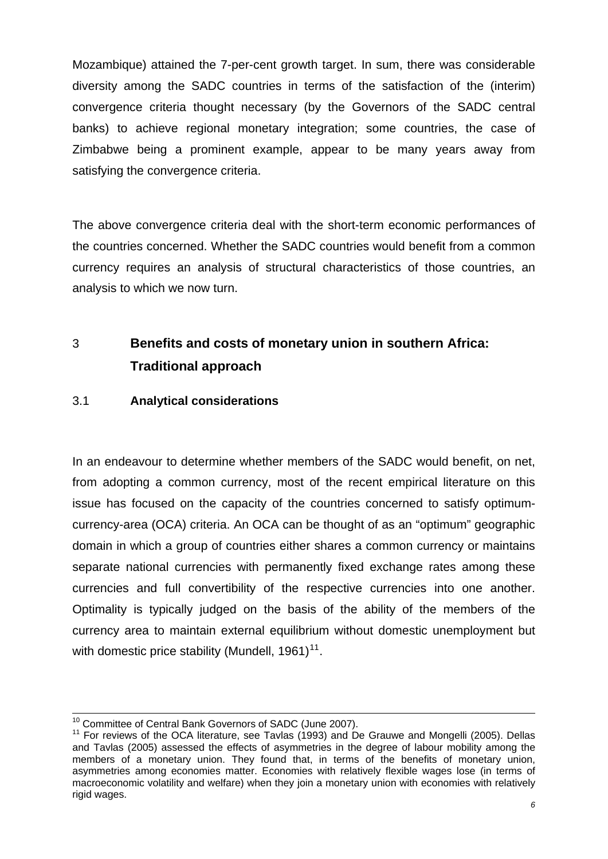<span id="page-8-0"></span>Mozambique) attained the 7-per-cent growth target. In sum, there was considerable diversity among the SADC countries in terms of the satisfaction of the (interim) convergence criteria thought necessary (by the Governors of the SADC central banks) to achieve regional monetary integration; some countries, the case of Zimbabwe being a prominent example, appear to be many years away from satisfying the convergence criteria.

The above convergence criteria deal with the short-term economic performances of the countries concerned. Whether the SADC countries would benefit from a common currency requires an analysis of structural characteristics of those countries, an analysis to which we now turn.

# 3 **Benefits and costs of monetary union in southern Africa: Traditional approach**

## 3.1 **Analytical considerations**

<span id="page-8-1"></span>In an endeavour to determine whether members of the SADC would benefit, on net, from adopting a common currency, most of the recent empirical literature on this issue has focused on the capacity of the countries concerned to satisfy optimumcurrency-area (OCA) criteria. An OCA can be thought of as an "optimum" geographic domain in which a group of countries either shares a common currency or maintains separate national currencies with permanently fixed exchange rates among these currencies and full convertibility of the respective currencies into one another. Optimality is typically judged on the basis of the ability of the members of the currency area to maintain external equilibrium without domestic unemployment but with domestic price stability (Mundell,  $1961$ )<sup>[11](#page-8-1)</sup>.

<sup>-</sup>

<sup>&</sup>lt;sup>10</sup> Committee of Central Bank Governors of SADC (June 2007).<br><sup>11</sup> For reviews of the OCA literature, see Tavlas (1993) and De Grauwe and Mongelli (2005). Dellas and Tavlas (2005) assessed the effects of asymmetries in the degree of labour mobility among the members of a monetary union. They found that, in terms of the benefits of monetary union, asymmetries among economies matter. Economies with relatively flexible wages lose (in terms of macroeconomic volatility and welfare) when they join a monetary union with economies with relatively rigid wages.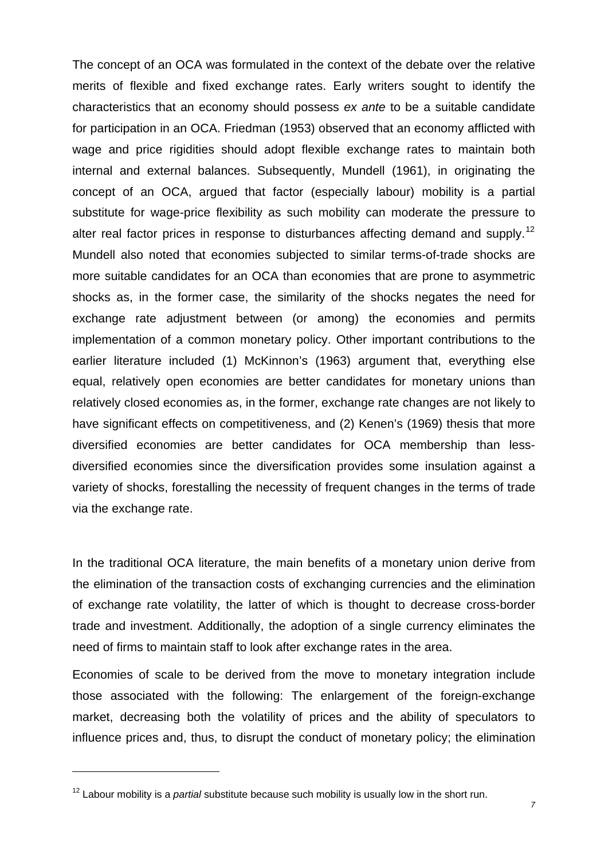<span id="page-9-0"></span>The concept of an OCA was formulated in the context of the debate over the relative merits of flexible and fixed exchange rates. Early writers sought to identify the characteristics that an economy should possess *ex ante* to be a suitable candidate for participation in an OCA. Friedman (1953) observed that an economy afflicted with wage and price rigidities should adopt flexible exchange rates to maintain both internal and external balances. Subsequently, Mundell (1961), in originating the concept of an OCA, argued that factor (especially labour) mobility is a partial substitute for wage-price flexibility as such mobility can moderate the pressure to alter real factor prices in response to disturbances affecting demand and supply.<sup>[12](#page-9-0)</sup> Mundell also noted that economies subjected to similar terms-of-trade shocks are more suitable candidates for an OCA than economies that are prone to asymmetric shocks as, in the former case, the similarity of the shocks negates the need for exchange rate adjustment between (or among) the economies and permits implementation of a common monetary policy. Other important contributions to the earlier literature included (1) McKinnon's (1963) argument that, everything else equal, relatively open economies are better candidates for monetary unions than relatively closed economies as, in the former, exchange rate changes are not likely to have significant effects on competitiveness, and (2) Kenen's (1969) thesis that more diversified economies are better candidates for OCA membership than lessdiversified economies since the diversification provides some insulation against a variety of shocks, forestalling the necessity of frequent changes in the terms of trade via the exchange rate.

In the traditional OCA literature, the main benefits of a monetary union derive from the elimination of the transaction costs of exchanging currencies and the elimination of exchange rate volatility, the latter of which is thought to decrease cross-border trade and investment. Additionally, the adoption of a single currency eliminates the need of firms to maintain staff to look after exchange rates in the area.

Economies of scale to be derived from the move to monetary integration include those associated with the following: The enlargement of the foreign-exchange market, decreasing both the volatility of prices and the ability of speculators to influence prices and, thus, to disrupt the conduct of monetary policy; the elimination

<sup>&</sup>lt;sup>12</sup> Labour mobility is a *partial* substitute because such mobility is usually low in the short run.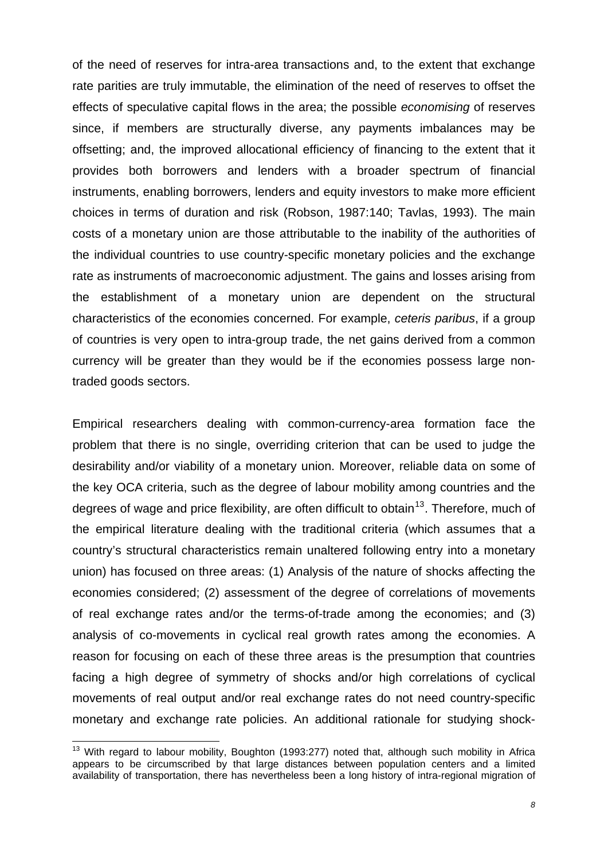<span id="page-10-0"></span>of the need of reserves for intra-area transactions and, to the extent that exchange rate parities are truly immutable, the elimination of the need of reserves to offset the effects of speculative capital flows in the area; the possible *economising* of reserves since, if members are structurally diverse, any payments imbalances may be offsetting; and, the improved allocational efficiency of financing to the extent that it provides both borrowers and lenders with a broader spectrum of financial instruments, enabling borrowers, lenders and equity investors to make more efficient choices in terms of duration and risk (Robson, 1987:140; Tavlas, 1993). The main costs of a monetary union are those attributable to the inability of the authorities of the individual countries to use country-specific monetary policies and the exchange rate as instruments of macroeconomic adjustment. The gains and losses arising from the establishment of a monetary union are dependent on the structural characteristics of the economies concerned. For example, *ceteris paribus*, if a group of countries is very open to intra-group trade, the net gains derived from a common currency will be greater than they would be if the economies possess large nontraded goods sectors.

Empirical researchers dealing with common-currency-area formation face the problem that there is no single, overriding criterion that can be used to judge the desirability and/or viability of a monetary union. Moreover, reliable data on some of the key OCA criteria, such as the degree of labour mobility among countries and the degrees of wage and price flexibility, are often difficult to obtain<sup>[13](#page-10-0)</sup>. Therefore, much of the empirical literature dealing with the traditional criteria (which assumes that a country's structural characteristics remain unaltered following entry into a monetary union) has focused on three areas: (1) Analysis of the nature of shocks affecting the economies considered; (2) assessment of the degree of correlations of movements of real exchange rates and/or the terms-of-trade among the economies; and (3) analysis of co-movements in cyclical real growth rates among the economies. A reason for focusing on each of these three areas is the presumption that countries facing a high degree of symmetry of shocks and/or high correlations of cyclical movements of real output and/or real exchange rates do not need country-specific monetary and exchange rate policies. An additional rationale for studying shock-

 $13$  With regard to labour mobility, Boughton (1993:277) noted that, although such mobility in Africa appears to be circumscribed by that large distances between population centers and a limited availability of transportation, there has nevertheless been a long history of intra-regional migration of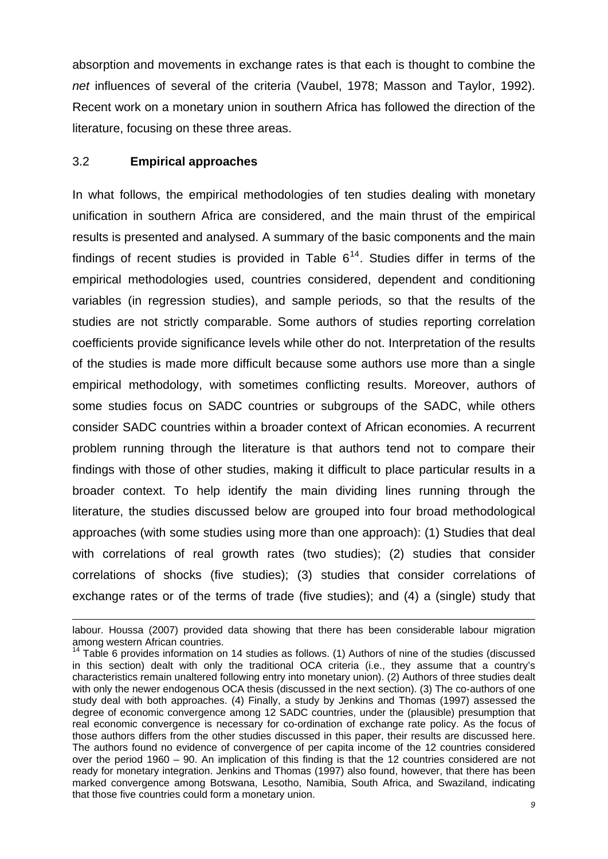<span id="page-11-0"></span>absorption and movements in exchange rates is that each is thought to combine the *net* influences of several of the criteria (Vaubel, 1978; Masson and Taylor, 1992). Recent work on a monetary union in southern Africa has followed the direction of the literature, focusing on these three areas.

#### 3.2 **Empirical approaches**

-

In what follows, the empirical methodologies of ten studies dealing with monetary unification in southern Africa are considered, and the main thrust of the empirical results is presented and analysed. A summary of the basic components and the main findings of recent studies is provided in Table  $6^{14}$  $6^{14}$  $6^{14}$ . Studies differ in terms of the empirical methodologies used, countries considered, dependent and conditioning variables (in regression studies), and sample periods, so that the results of the studies are not strictly comparable. Some authors of studies reporting correlation coefficients provide significance levels while other do not. Interpretation of the results of the studies is made more difficult because some authors use more than a single empirical methodology, with sometimes conflicting results. Moreover, authors of some studies focus on SADC countries or subgroups of the SADC, while others consider SADC countries within a broader context of African economies. A recurrent problem running through the literature is that authors tend not to compare their findings with those of other studies, making it difficult to place particular results in a broader context. To help identify the main dividing lines running through the literature, the studies discussed below are grouped into four broad methodological approaches (with some studies using more than one approach): (1) Studies that deal with correlations of real growth rates (two studies); (2) studies that consider correlations of shocks (five studies); (3) studies that consider correlations of exchange rates or of the terms of trade (five studies); and (4) a (single) study that

labour. Houssa (2007) provided data showing that there has been considerable labour migration among western African countries.

<sup>&</sup>lt;sup>14</sup> Table 6 provides information on 14 studies as follows. (1) Authors of nine of the studies (discussed in this section) dealt with only the traditional OCA criteria (i.e., they assume that a country's characteristics remain unaltered following entry into monetary union). (2) Authors of three studies dealt with only the newer endogenous OCA thesis (discussed in the next section). (3) The co-authors of one study deal with both approaches. (4) Finally, a study by Jenkins and Thomas (1997) assessed the degree of economic convergence among 12 SADC countries, under the (plausible) presumption that real economic convergence is necessary for co-ordination of exchange rate policy. As the focus of those authors differs from the other studies discussed in this paper, their results are discussed here. The authors found no evidence of convergence of per capita income of the 12 countries considered over the period 1960 – 90. An implication of this finding is that the 12 countries considered are not ready for monetary integration. Jenkins and Thomas (1997) also found, however, that there has been marked convergence among Botswana, Lesotho, Namibia, South Africa, and Swaziland, indicating that those five countries could form a monetary union.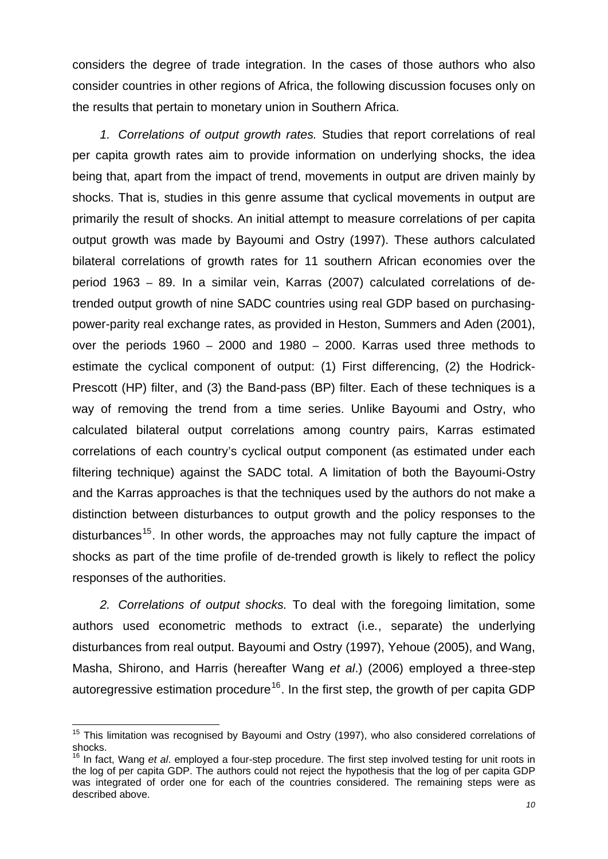<span id="page-12-0"></span>considers the degree of trade integration. In the cases of those authors who also consider countries in other regions of Africa, the following discussion focuses only on the results that pertain to monetary union in Southern Africa.

*1. Correlations of output growth rates.* Studies that report correlations of real per capita growth rates aim to provide information on underlying shocks, the idea being that, apart from the impact of trend, movements in output are driven mainly by shocks. That is, studies in this genre assume that cyclical movements in output are primarily the result of shocks. An initial attempt to measure correlations of per capita output growth was made by Bayoumi and Ostry (1997). These authors calculated bilateral correlations of growth rates for 11 southern African economies over the period 1963 – 89. In a similar vein, Karras (2007) calculated correlations of detrended output growth of nine SADC countries using real GDP based on purchasingpower-parity real exchange rates, as provided in Heston, Summers and Aden (2001), over the periods 1960 – 2000 and 1980 – 2000. Karras used three methods to estimate the cyclical component of output: (1) First differencing, (2) the Hodrick-Prescott (HP) filter, and (3) the Band-pass (BP) filter. Each of these techniques is a way of removing the trend from a time series. Unlike Bayoumi and Ostry, who calculated bilateral output correlations among country pairs, Karras estimated correlations of each country's cyclical output component (as estimated under each filtering technique) against the SADC total. A limitation of both the Bayoumi-Ostry and the Karras approaches is that the techniques used by the authors do not make a distinction between disturbances to output growth and the policy responses to the disturbances<sup>[15](#page-12-0)</sup>. In other words, the approaches may not fully capture the impact of shocks as part of the time profile of de-trended growth is likely to reflect the policy responses of the authorities.

*2. Correlations of output shocks.* To deal with the foregoing limitation, some authors used econometric methods to extract (i.e*.*, separate) the underlying disturbances from real output. Bayoumi and Ostry (1997), Yehoue (2005), and Wang, Masha, Shirono, and Harris (hereafter Wang *et al*.) (2006) employed a three-step autoregressive estimation procedure<sup>[16](#page-12-0)</sup>. In the first step, the growth of per capita GDP

 $15$  This limitation was recognised by Bayoumi and Ostry (1997), who also considered correlations of shocks.

<sup>16</sup> In fact, Wang *et al*. employed a four-step procedure. The first step involved testing for unit roots in the log of per capita GDP. The authors could not reject the hypothesis that the log of per capita GDP was integrated of order one for each of the countries considered. The remaining steps were as described above.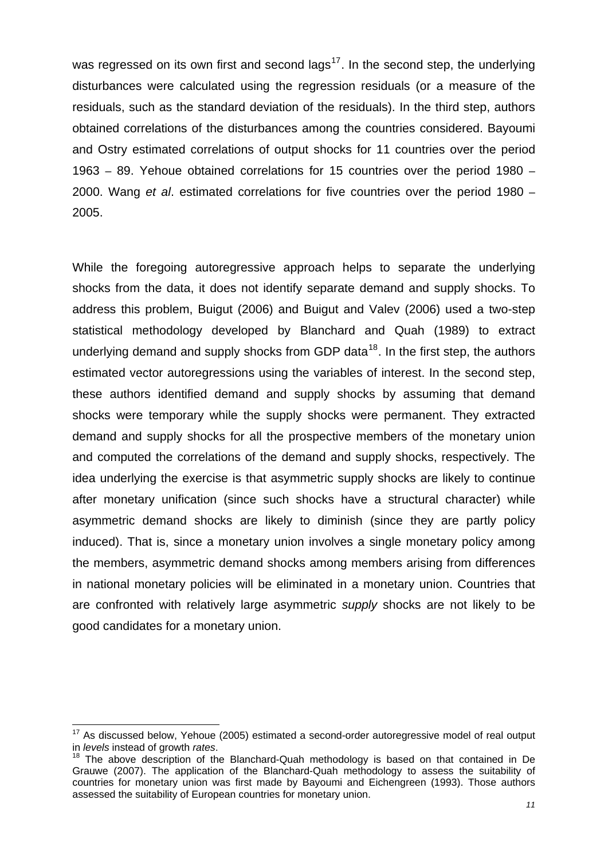<span id="page-13-0"></span>was regressed on its own first and second lags<sup>17</sup>. In the second step, the underlying disturbances were calculated using the regression residuals (or a measure of the residuals, such as the standard deviation of the residuals). In the third step, authors obtained correlations of the disturbances among the countries considered. Bayoumi and Ostry estimated correlations of output shocks for 11 countries over the period 1963 – 89. Yehoue obtained correlations for 15 countries over the period 1980 – 2000. Wang *et al*. estimated correlations for five countries over the period 1980 – 2005.

While the foregoing autoregressive approach helps to separate the underlying shocks from the data, it does not identify separate demand and supply shocks. To address this problem, Buigut (2006) and Buigut and Valev (2006) used a two-step statistical methodology developed by Blanchard and Quah (1989) to extract underlying demand and supply shocks from GDP data<sup>[18](#page-13-0)</sup>. In the first step, the authors estimated vector autoregressions using the variables of interest. In the second step, these authors identified demand and supply shocks by assuming that demand shocks were temporary while the supply shocks were permanent. They extracted demand and supply shocks for all the prospective members of the monetary union and computed the correlations of the demand and supply shocks, respectively. The idea underlying the exercise is that asymmetric supply shocks are likely to continue after monetary unification (since such shocks have a structural character) while asymmetric demand shocks are likely to diminish (since they are partly policy induced). That is, since a monetary union involves a single monetary policy among the members, asymmetric demand shocks among members arising from differences in national monetary policies will be eliminated in a monetary union. Countries that are confronted with relatively large asymmetric *supply* shocks are not likely to be good candidates for a monetary union.

 $17$  As discussed below, Yehoue (2005) estimated a second-order autoregressive model of real output in *levels* instead of growth *rates*.

<sup>&</sup>lt;sup>18</sup> The above description of the Blanchard-Quah methodology is based on that contained in De Grauwe (2007). The application of the Blanchard-Quah methodology to assess the suitability of countries for monetary union was first made by Bayoumi and Eichengreen (1993). Those authors assessed the suitability of European countries for monetary union.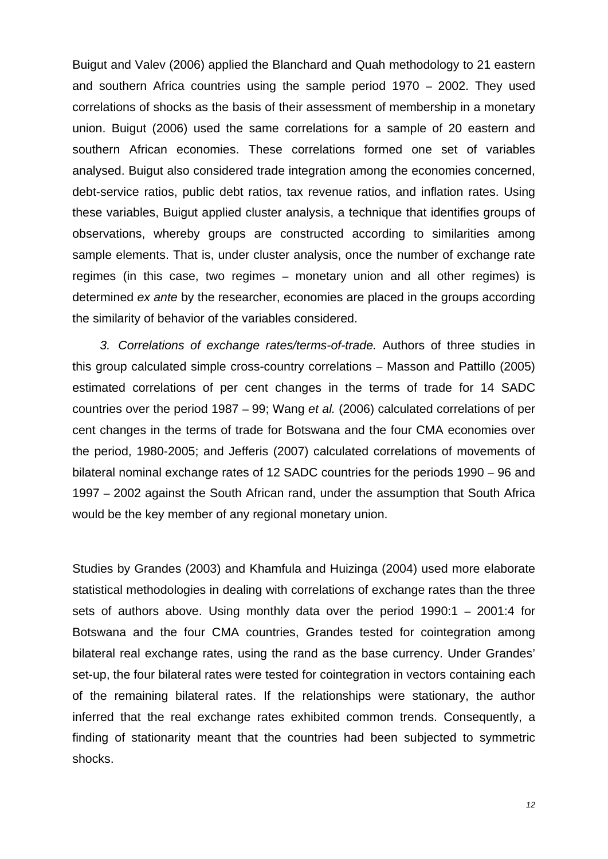Buigut and Valev (2006) applied the Blanchard and Quah methodology to 21 eastern and southern Africa countries using the sample period 1970 – 2002. They used correlations of shocks as the basis of their assessment of membership in a monetary union. Buigut (2006) used the same correlations for a sample of 20 eastern and southern African economies. These correlations formed one set of variables analysed. Buigut also considered trade integration among the economies concerned, debt-service ratios, public debt ratios, tax revenue ratios, and inflation rates. Using these variables, Buigut applied cluster analysis, a technique that identifies groups of observations, whereby groups are constructed according to similarities among sample elements. That is, under cluster analysis, once the number of exchange rate regimes (in this case, two regimes – monetary union and all other regimes) is determined *ex ante* by the researcher, economies are placed in the groups according the similarity of behavior of the variables considered.

*3. Correlations of exchange rates/terms-of-trade.* Authors of three studies in this group calculated simple cross-country correlations – Masson and Pattillo (2005) estimated correlations of per cent changes in the terms of trade for 14 SADC countries over the period 1987 – 99; Wang *et al.* (2006) calculated correlations of per cent changes in the terms of trade for Botswana and the four CMA economies over the period, 1980-2005; and Jefferis (2007) calculated correlations of movements of bilateral nominal exchange rates of 12 SADC countries for the periods 1990 – 96 and 1997 – 2002 against the South African rand, under the assumption that South Africa would be the key member of any regional monetary union.

Studies by Grandes (2003) and Khamfula and Huizinga (2004) used more elaborate statistical methodologies in dealing with correlations of exchange rates than the three sets of authors above. Using monthly data over the period 1990:1 – 2001:4 for Botswana and the four CMA countries, Grandes tested for cointegration among bilateral real exchange rates, using the rand as the base currency. Under Grandes' set-up, the four bilateral rates were tested for cointegration in vectors containing each of the remaining bilateral rates. If the relationships were stationary, the author inferred that the real exchange rates exhibited common trends. Consequently, a finding of stationarity meant that the countries had been subjected to symmetric shocks.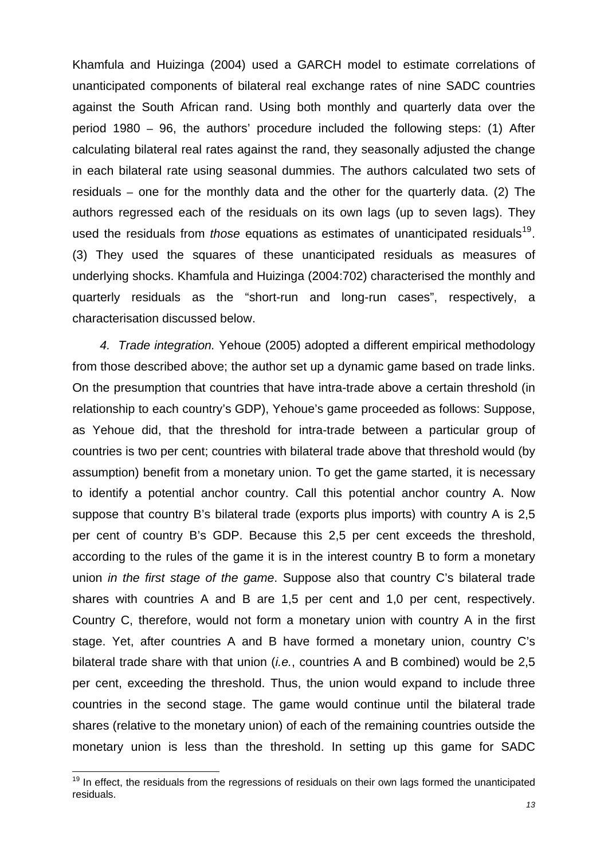<span id="page-15-0"></span>characterisation discussed below. Khamfula and Huizinga (2004) used a GARCH model to estimate correlations of unanticipated components of bilateral real exchange rates of nine SADC countries against the South African rand. Using both monthly and quarterly data over the period 1980 – 96, the authors' procedure included the following steps: (1) After calculating bilateral real rates against the rand, they seasonally adjusted the change in each bilateral rate using seasonal dummies. The authors calculated two sets of residuals – one for the monthly data and the other for the quarterly data. (2) The authors regressed each of the residuals on its own lags (up to seven lags). They used the residuals from *those* equations as estimates of unanticipated residuals<sup>[19](#page-15-0)</sup>. (3) They used the squares of these unanticipated residuals as measures of underlying shocks. Khamfula and Huizinga (2004:702) characterised the monthly and quarterly residuals as the "short-run and long-run cases", respectively, a

*4. Trade integration.* Yehoue (2005) adopted a different empirical methodology from those described above; the author set up a dynamic game based on trade links. On the presumption that countries that have intra-trade above a certain threshold (in relationship to each country's GDP), Yehoue's game proceeded as follows: Suppose, as Yehoue did, that the threshold for intra-trade between a particular group of countries is two per cent; countries with bilateral trade above that threshold would (by assumption) benefit from a monetary union. To get the game started, it is necessary to identify a potential anchor country. Call this potential anchor country A. Now suppose that country B's bilateral trade (exports plus imports) with country A is 2,5 per cent of country B's GDP. Because this 2,5 per cent exceeds the threshold, according to the rules of the game it is in the interest country B to form a monetary union *in the first stage of the game*. Suppose also that country C's bilateral trade shares with countries A and B are 1,5 per cent and 1,0 per cent, respectively. Country C, therefore, would not form a monetary union with country A in the first stage. Yet, after countries A and B have formed a monetary union, country C's bilateral trade share with that union (*i.e.*, countries A and B combined) would be 2,5 per cent, exceeding the threshold. Thus, the union would expand to include three countries in the second stage. The game would continue until the bilateral trade shares (relative to the monetary union) of each of the remaining countries outside the monetary union is less than the threshold. In setting up this game for SADC

 $19$  In effect, the residuals from the regressions of residuals on their own lags formed the unanticipated residuals.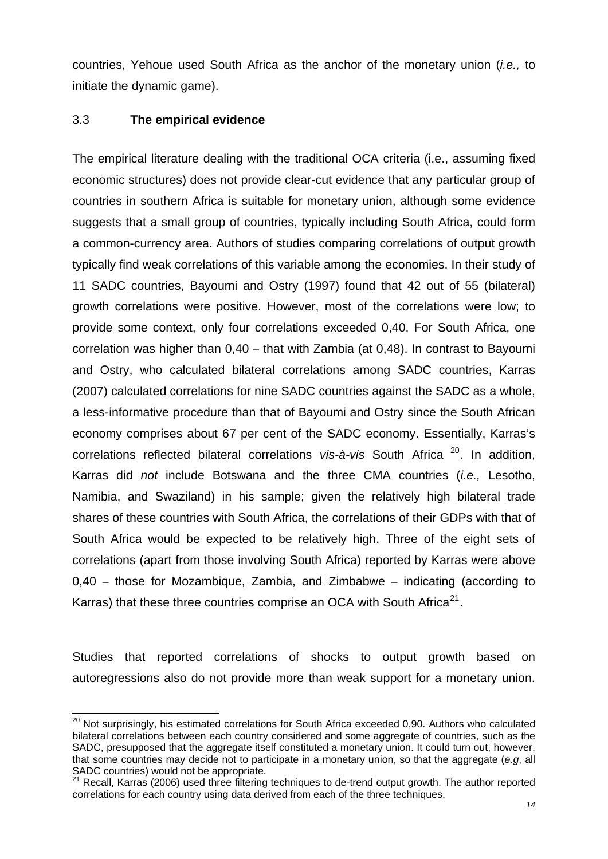<span id="page-16-0"></span>countries, Yehoue used South Africa as the anchor of the monetary union (*i.e.,* to initiate the dynamic game).

### 3.3 **The empirical evidence**

Karras) that these three countries comprise an OCA with South Africa<sup>21</sup>. The empirical literature dealing with the traditional OCA criteria (i.e., assuming fixed economic structures) does not provide clear-cut evidence that any particular group of countries in southern Africa is suitable for monetary union, although some evidence suggests that a small group of countries, typically including South Africa, could form a common-currency area. Authors of studies comparing correlations of output growth typically find weak correlations of this variable among the economies. In their study of 11 SADC countries, Bayoumi and Ostry (1997) found that 42 out of 55 (bilateral) growth correlations were positive. However, most of the correlations were low; to provide some context, only four correlations exceeded 0,40. For South Africa, one correlation was higher than 0,40 – that with Zambia (at 0,48). In contrast to Bayoumi and Ostry, who calculated bilateral correlations among SADC countries, Karras (2007) calculated correlations for nine SADC countries against the SADC as a whole, a less-informative procedure than that of Bayoumi and Ostry since the South African economy comprises about 67 per cent of the SADC economy. Essentially, Karras's correlations reflected bilateral correlations *vis-à-vis* South Africa [20](#page-16-0). In addition, Karras did *not* include Botswana and the three CMA countries (*i.e.,* Lesotho, Namibia, and Swaziland) in his sample; given the relatively high bilateral trade shares of these countries with South Africa, the correlations of their GDPs with that of South Africa would be expected to be relatively high. Three of the eight sets of correlations (apart from those involving South Africa) reported by Karras were above 0,40 – those for Mozambique, Zambia, and Zimbabwe – indicating (according to

Studies that reported correlations of shocks to output growth based on autoregressions also do not provide more than weak support for a monetary union.

<sup>-</sup> $20$  Not surprisingly, his estimated correlations for South Africa exceeded 0,90. Authors who calculated bilateral correlations between each country considered and some aggregate of countries, such as the SADC, presupposed that the aggregate itself constituted a monetary union. It could turn out, however, that some countries may decide not to participate in a monetary union, so that the aggregate (*e.g*, all SADC countries) would not be appropriate.

Recall, Karras (2006) used three filtering techniques to de-trend output growth. The author reported correlations for each country using data derived from each of the three techniques.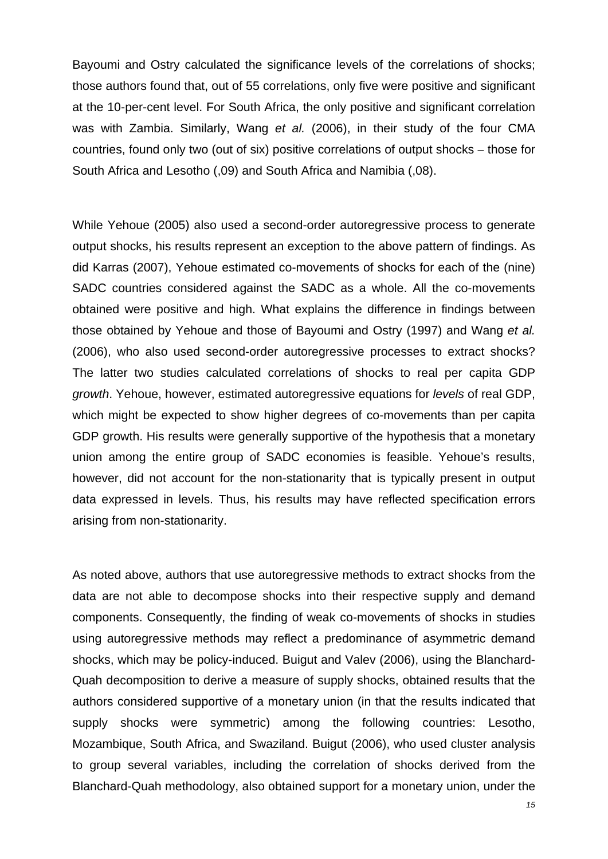Bayoumi and Ostry calculated the significance levels of the correlations of shocks; those authors found that, out of 55 correlations, only five were positive and significant at the 10-per-cent level. For South Africa, the only positive and significant correlation was with Zambia. Similarly, Wang *et al.* (2006), in their study of the four CMA countries, found only two (out of six) positive correlations of output shocks – those for South Africa and Lesotho (,09) and South Africa and Namibia (,08).

While Yehoue (2005) also used a second-order autoregressive process to generate output shocks, his results represent an exception to the above pattern of findings. As did Karras (2007), Yehoue estimated co-movements of shocks for each of the (nine) SADC countries considered against the SADC as a whole. All the co-movements obtained were positive and high. What explains the difference in findings between those obtained by Yehoue and those of Bayoumi and Ostry (1997) and Wang *et al.* (2006), who also used second-order autoregressive processes to extract shocks? The latter two studies calculated correlations of shocks to real per capita GDP *growth*. Yehoue, however, estimated autoregressive equations for *levels* of real GDP, which might be expected to show higher degrees of co-movements than per capita GDP growth. His results were generally supportive of the hypothesis that a monetary union among the entire group of SADC economies is feasible. Yehoue's results, however, did not account for the non-stationarity that is typically present in output data expressed in levels. Thus, his results may have reflected specification errors arising from non-stationarity.

As noted above, authors that use autoregressive methods to extract shocks from the data are not able to decompose shocks into their respective supply and demand components. Consequently, the finding of weak co-movements of shocks in studies using autoregressive methods may reflect a predominance of asymmetric demand shocks, which may be policy-induced. Buigut and Valev (2006), using the Blanchard-Quah decomposition to derive a measure of supply shocks, obtained results that the authors considered supportive of a monetary union (in that the results indicated that supply shocks were symmetric) among the following countries: Lesotho, Mozambique, South Africa, and Swaziland. Buigut (2006), who used cluster analysis to group several variables, including the correlation of shocks derived from the Blanchard-Quah methodology, also obtained support for a monetary union, under the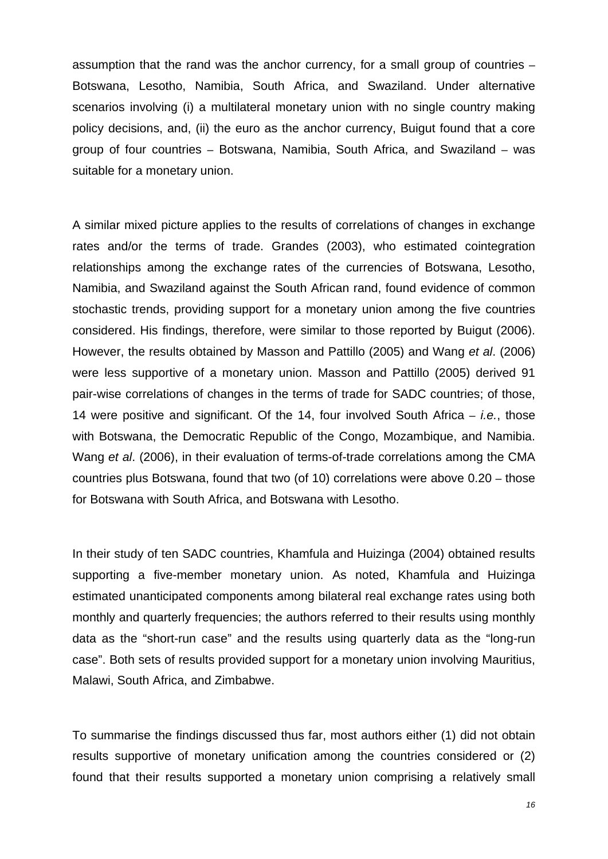assumption that the rand was the anchor currency, for a small group of countries – Botswana, Lesotho, Namibia, South Africa, and Swaziland. Under alternative scenarios involving (i) a multilateral monetary union with no single country making policy decisions, and, (ii) the euro as the anchor currency, Buigut found that a core group of four countries – Botswana, Namibia, South Africa, and Swaziland – was suitable for a monetary union.

A similar mixed picture applies to the results of correlations of changes in exchange rates and/or the terms of trade. Grandes (2003), who estimated cointegration relationships among the exchange rates of the currencies of Botswana, Lesotho, Namibia, and Swaziland against the South African rand, found evidence of common stochastic trends, providing support for a monetary union among the five countries considered. His findings, therefore, were similar to those reported by Buigut (2006). However, the results obtained by Masson and Pattillo (2005) and Wang *et al*. (2006) were less supportive of a monetary union. Masson and Pattillo (2005) derived 91 pair-wise correlations of changes in the terms of trade for SADC countries; of those, 14 were positive and significant. Of the 14, four involved South Africa – *i.e.*, those with Botswana, the Democratic Republic of the Congo, Mozambique, and Namibia. Wang *et al*. (2006), in their evaluation of terms-of-trade correlations among the CMA countries plus Botswana, found that two (of 10) correlations were above 0.20 – those for Botswana with South Africa, and Botswana with Lesotho.

In their study of ten SADC countries, Khamfula and Huizinga (2004) obtained results supporting a five-member monetary union. As noted, Khamfula and Huizinga estimated unanticipated components among bilateral real exchange rates using both monthly and quarterly frequencies; the authors referred to their results using monthly data as the "short-run case" and the results using quarterly data as the "long-run case". Both sets of results provided support for a monetary union involving Mauritius, Malawi, South Africa, and Zimbabwe.

To summarise the findings discussed thus far, most authors either (1) did not obtain results supportive of monetary unification among the countries considered or (2) found that their results supported a monetary union comprising a relatively small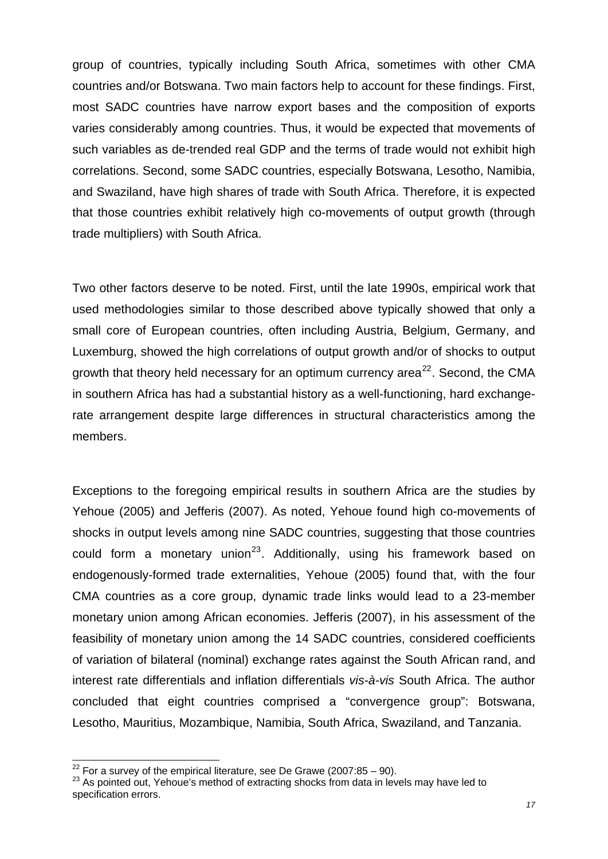<span id="page-19-0"></span>group of countries, typically including South Africa, sometimes with other CMA countries and/or Botswana. Two main factors help to account for these findings. First, most SADC countries have narrow export bases and the composition of exports varies considerably among countries. Thus, it would be expected that movements of such variables as de-trended real GDP and the terms of trade would not exhibit high correlations. Second, some SADC countries, especially Botswana, Lesotho, Namibia, and Swaziland, have high shares of trade with South Africa. Therefore, it is expected that those countries exhibit relatively high co-movements of output growth (through trade multipliers) with South Africa.

Two other factors deserve to be noted. First, until the late 1990s, empirical work that used methodologies similar to those described above typically showed that only a small core of European countries, often including Austria, Belgium, Germany, and Luxemburg, showed the high correlations of output growth and/or of shocks to output growth that theory held necessary for an optimum currency area<sup>[22](#page-19-0)</sup>. Second, the CMA in southern Africa has had a substantial history as a well-functioning, hard exchangerate arrangement despite large differences in structural characteristics among the members.

Exceptions to the foregoing empirical results in southern Africa are the studies by Yehoue (2005) and Jefferis (2007). As noted, Yehoue found high co-movements of shocks in output levels among nine SADC countries, suggesting that those countries could form a monetary union<sup>[23](#page-19-0)</sup>. Additionally, using his framework based on endogenously-formed trade externalities, Yehoue (2005) found that, with the four CMA countries as a core group, dynamic trade links would lead to a 23-member monetary union among African economies. Jefferis (2007), in his assessment of the feasibility of monetary union among the 14 SADC countries, considered coefficients of variation of bilateral (nominal) exchange rates against the South African rand, and interest rate differentials and inflation differentials *vis-à-vis* South Africa. The author concluded that eight countries comprised a "convergence group": Botswana, Lesotho, Mauritius, Mozambique, Namibia, South Africa, Swaziland, and Tanzania.

 $^{22}$  For a survey of the empirical literature, see De Grawe (2007:85 – 90).<br> $^{23}$  As pointed out, Yehoue's method of extracting shocks from data in levels may have led to specification errors.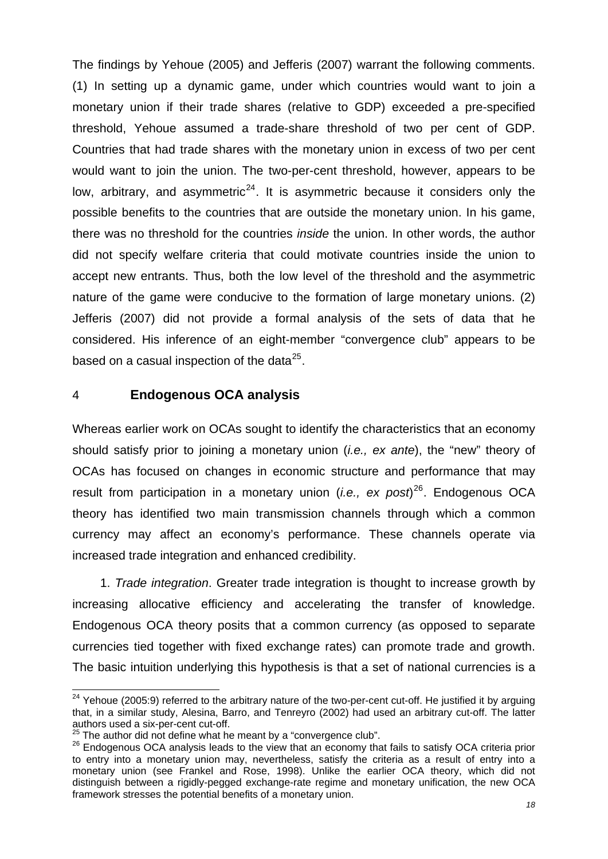<span id="page-20-0"></span>The findings by Yehoue (2005) and Jefferis (2007) warrant the following comments. (1) In setting up a dynamic game, under which countries would want to join a monetary union if their trade shares (relative to GDP) exceeded a pre-specified threshold, Yehoue assumed a trade-share threshold of two per cent of GDP. Countries that had trade shares with the monetary union in excess of two per cent would want to join the union. The two-per-cent threshold, however, appears to be low, arbitrary, and asymmetric<sup>[24](#page-20-0)</sup>. It is asymmetric because it considers only the possible benefits to the countries that are outside the monetary union. In his game, there was no threshold for the countries *inside* the union. In other words, the author did not specify welfare criteria that could motivate countries inside the union to accept new entrants. Thus, both the low level of the threshold and the asymmetric nature of the game were conducive to the formation of large monetary unions. (2) Jefferis (2007) did not provide a formal analysis of the sets of data that he considered. His inference of an eight-member "convergence club" appears to be based on a casual inspection of the data $^{25}$  $^{25}$  $^{25}$ .

#### 4 **Endogenous OCA analysis**

Whereas earlier work on OCAs sought to identify the characteristics that an economy should satisfy prior to joining a monetary union (*i.e., ex ante*), the "new" theory of OCAs has focused on changes in economic structure and performance that may result from participation in a monetary union (*i.e., ex post*) [26](#page-20-0). Endogenous OCA theory has identified two main transmission channels through which a common currency may affect an economy's performance. These channels operate via increased trade integration and enhanced credibility.

1. *Trade integration*. Greater trade integration is thought to increase growth by increasing allocative efficiency and accelerating the transfer of knowledge. Endogenous OCA theory posits that a common currency (as opposed to separate currencies tied together with fixed exchange rates) can promote trade and growth. The basic intuition underlying this hypothesis is that a set of national currencies is a

<sup>-</sup> $24$  Yehoue (2005:9) referred to the arbitrary nature of the two-per-cent cut-off. He justified it by arguing that, in a similar study, Alesina, Barro, and Tenreyro (2002) had used an arbitrary cut-off. The latter authors used a six-per-cent cut-off.<br><sup>25</sup> The author did not define what he meant by a "convergence club".

<sup>&</sup>lt;sup>26</sup> Endogenous OCA analysis leads to the view that an economy that fails to satisfy OCA criteria prior to entry into a monetary union may, nevertheless, satisfy the criteria as a result of entry into a monetary union (see Frankel and Rose, 1998). Unlike the earlier OCA theory, which did not distinguish between a rigidly-pegged exchange-rate regime and monetary unification, the new OCA framework stresses the potential benefits of a monetary union.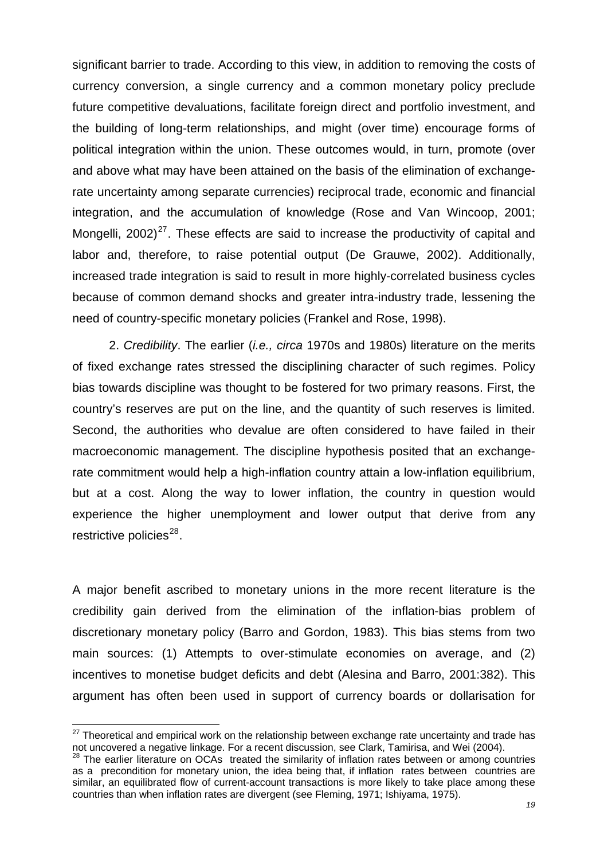<span id="page-21-0"></span>significant barrier to trade. According to this view, in addition to removing the costs of currency conversion, a single currency and a common monetary policy preclude future competitive devaluations, facilitate foreign direct and portfolio investment, and the building of long-term relationships, and might (over time) encourage forms of political integration within the union. These outcomes would, in turn, promote (over and above what may have been attained on the basis of the elimination of exchangerate uncertainty among separate currencies) reciprocal trade, economic and financial integration, and the accumulation of knowledge (Rose and Van Wincoop, 2001; Mongelli,  $2002$ <sup>[27](#page-21-0)</sup>. These effects are said to increase the productivity of capital and labor and, therefore, to raise potential output (De Grauwe, 2002). Additionally, increased trade integration is said to result in more highly-correlated business cycles because of common demand shocks and greater intra-industry trade, lessening the need of country-specific monetary policies (Frankel and Rose, 1998).

 2. *Credibility*. The earlier (*i.e., circa* 1970s and 1980s) literature on the merits of fixed exchange rates stressed the disciplining character of such regimes. Policy bias towards discipline was thought to be fostered for two primary reasons. First, the country's reserves are put on the line, and the quantity of such reserves is limited. Second, the authorities who devalue are often considered to have failed in their macroeconomic management. The discipline hypothesis posited that an exchangerate commitment would help a high-inflation country attain a low-inflation equilibrium, but at a cost. Along the way to lower inflation, the country in question would experience the higher unemployment and lower output that derive from any restrictive policies $^{28}$  $^{28}$  $^{28}$ .

A major benefit ascribed to monetary unions in the more recent literature is the credibility gain derived from the elimination of the inflation-bias problem of discretionary monetary policy (Barro and Gordon, 1983). This bias stems from two main sources: (1) Attempts to over-stimulate economies on average, and (2) incentives to monetise budget deficits and debt (Alesina and Barro, 2001:382). This argument has often been used in support of currency boards or dollarisation for

 $27$  Theoretical and empirical work on the relationship between exchange rate uncertainty and trade has not uncovered a negative linkage. For a recent discussion, see Clark, Tamirisa, and Wei (2004).<br><sup>28</sup> The earlier literature on OCAs treated the similarity of inflation rates between or among countries

as a precondition for monetary union, the idea being that, if inflation rates between countries are similar, an equilibrated flow of current-account transactions is more likely to take place among these countries than when inflation rates are divergent (see Fleming, 1971; Ishiyama, 1975).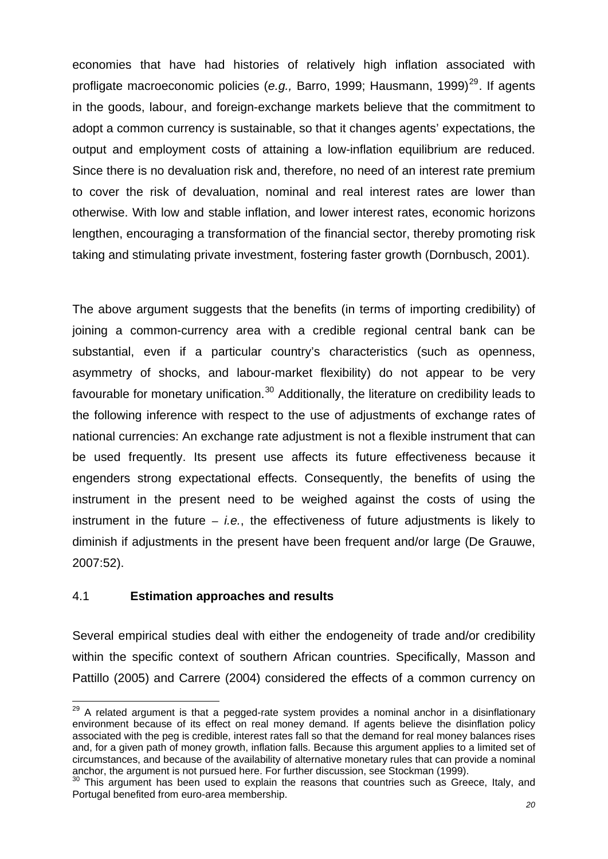<span id="page-22-0"></span>economies that have had histories of relatively high inflation associated with profligate macroeconomic policies (e.g., Barro, 1999; Hausmann, 1999)<sup>[29](#page-22-0)</sup>. If agents in the goods, labour, and foreign-exchange markets believe that the commitment to adopt a common currency is sustainable, so that it changes agents' expectations, the output and employment costs of attaining a low-inflation equilibrium are reduced. Since there is no devaluation risk and, therefore, no need of an interest rate premium to cover the risk of devaluation, nominal and real interest rates are lower than otherwise. With low and stable inflation, and lower interest rates, economic horizons lengthen, encouraging a transformation of the financial sector, thereby promoting risk taking and stimulating private investment, fostering faster growth (Dornbusch, 2001).

The above argument suggests that the benefits (in terms of importing credibility) of joining a common-currency area with a credible regional central bank can be substantial, even if a particular country's characteristics (such as openness, asymmetry of shocks, and labour-market flexibility) do not appear to be very favourable for monetary unification. $30$  Additionally, the literature on credibility leads to the following inference with respect to the use of adjustments of exchange rates of national currencies: An exchange rate adjustment is not a flexible instrument that can be used frequently. Its present use affects its future effectiveness because it engenders strong expectational effects. Consequently, the benefits of using the instrument in the present need to be weighed against the costs of using the instrument in the future – *i.e.*, the effectiveness of future adjustments is likely to diminish if adjustments in the present have been frequent and/or large (De Grauwe, 2007:52).

## 4.1 **Estimation approaches and results**

Several empirical studies deal with either the endogeneity of trade and/or credibility within the specific context of southern African countries. Specifically, Masson and Pattillo (2005) and Carrere (2004) considered the effects of a common currency on

 $\overline{a}$  $29$  A related argument is that a pegged-rate system provides a nominal anchor in a disinflationary environment because of its effect on real money demand. If agents believe the disinflation policy associated with the peg is credible, interest rates fall so that the demand for real money balances rises and, for a given path of money growth, inflation falls. Because this argument applies to a limited set of circumstances, and because of the availability of alternative monetary rules that can provide a nominal

anchor, the argument is not pursued here. For further discussion, see Stockman (1999).<br><sup>30</sup> This argument has been used to explain the reasons that countries such as Greece, Italy, and Portugal benefited from euro-area membership.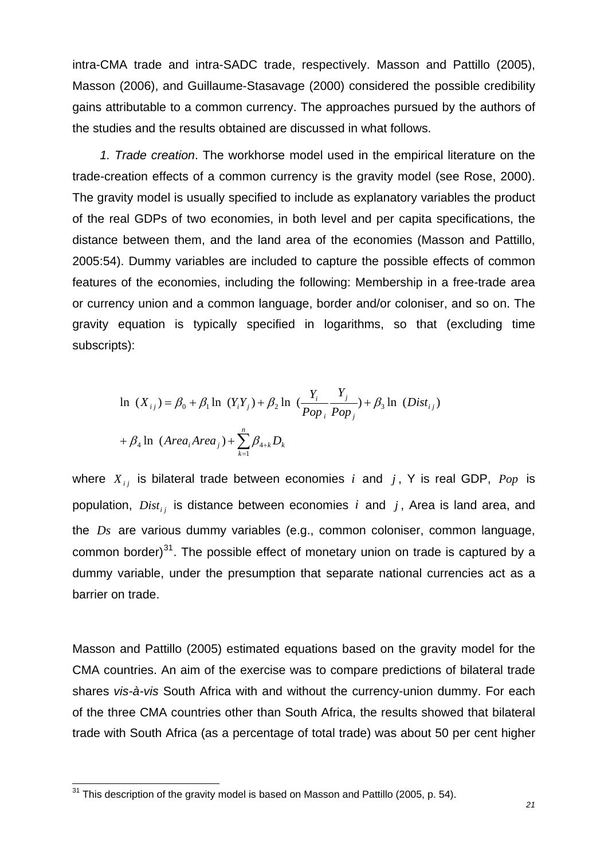<span id="page-23-0"></span>intra-CMA trade and intra-SADC trade, respectively. Masson and Pattillo (2005), Masson (2006), and Guillaume-Stasavage (2000) considered the possible credibility gains attributable to a common currency. The approaches pursued by the authors of the studies and the results obtained are discussed in what follows.

*1. Trade creation*. The workhorse model used in the empirical literature on the trade-creation effects of a common currency is the gravity model (see Rose, 2000). The gravity model is usually specified to include as explanatory variables the product of the real GDPs of two economies, in both level and per capita specifications, the distance between them, and the land area of the economies (Masson and Pattillo, 2005:54). Dummy variables are included to capture the possible effects of common features of the economies, including the following: Membership in a free-trade area or currency union and a common language, border and/or coloniser, and so on. The gravity equation is typically specified in logarithms, so that (excluding time subscripts):

$$
\ln (X_{ij}) = \beta_0 + \beta_1 \ln (Y_i Y_j) + \beta_2 \ln (\frac{Y_i}{Pop_i} \frac{Y_j}{Pop_j}) + \beta_3 \ln (Dist_{ij})
$$
  
+  $\beta_4 \ln (Area_i Area_j) + \sum_{k=1}^{n} \beta_{4+k} D_k$ 

where  $X_{ij}$  is bilateral trade between economies i and  $j$ , Y is real GDP,  $Pop$  is population,  $Dist_{ij}$  is distance between economies *i* and *j*, Area is land area, and the  $Ds$  are various dummy variables (e.g., common coloniser, common language, common border) $31$ . The possible effect of monetary union on trade is captured by a dummy variable, under the presumption that separate national currencies act as a barrier on trade.

Masson and Pattillo (2005) estimated equations based on the gravity model for the CMA countries. An aim of the exercise was to compare predictions of bilateral trade shares *vis-à-vis* South Africa with and without the currency-union dummy. For each of the three CMA countries other than South Africa, the results showed that bilateral trade with South Africa (as a percentage of total trade) was about 50 per cent higher

 $\overline{a}$ 

 $31$  This description of the gravity model is based on Masson and Pattillo (2005, p. 54).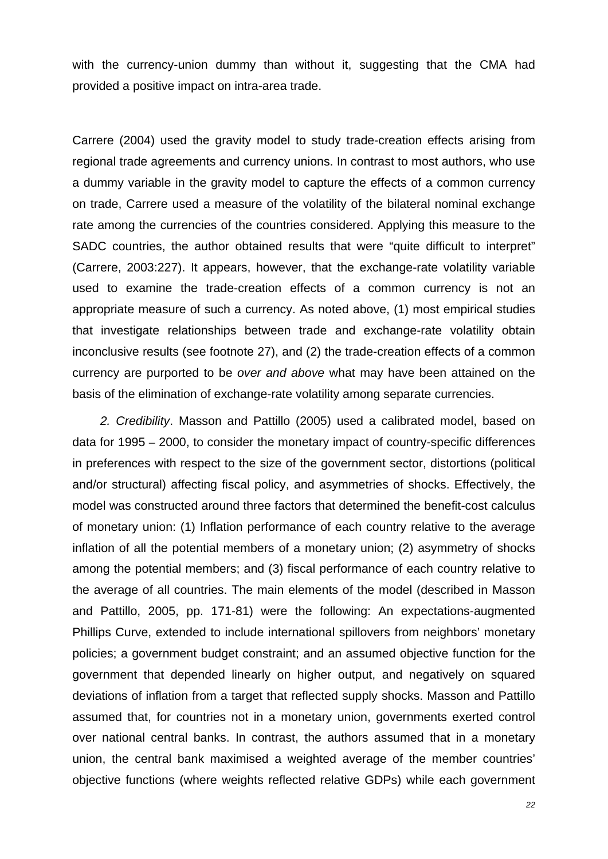with the currency-union dummy than without it, suggesting that the CMA had provided a positive impact on intra-area trade.

Carrere (2004) used the gravity model to study trade-creation effects arising from regional trade agreements and currency unions. In contrast to most authors, who use a dummy variable in the gravity model to capture the effects of a common currency on trade, Carrere used a measure of the volatility of the bilateral nominal exchange rate among the currencies of the countries considered. Applying this measure to the SADC countries, the author obtained results that were "quite difficult to interpret" (Carrere, 2003:227). It appears, however, that the exchange-rate volatility variable used to examine the trade-creation effects of a common currency is not an appropriate measure of such a currency. As noted above, (1) most empirical studies that investigate relationships between trade and exchange-rate volatility obtain inconclusive results (see footnote 27), and (2) the trade-creation effects of a common currency are purported to be *over and above* what may have been attained on the basis of the elimination of exchange-rate volatility among separate currencies.

*2. Credibility*. Masson and Pattillo (2005) used a calibrated model, based on data for 1995 – 2000, to consider the monetary impact of country-specific differences in preferences with respect to the size of the government sector, distortions (political and/or structural) affecting fiscal policy, and asymmetries of shocks. Effectively, the model was constructed around three factors that determined the benefit-cost calculus of monetary union: (1) Inflation performance of each country relative to the average inflation of all the potential members of a monetary union; (2) asymmetry of shocks among the potential members; and (3) fiscal performance of each country relative to the average of all countries. The main elements of the model (described in Masson and Pattillo, 2005, pp. 171-81) were the following: An expectations-augmented Phillips Curve, extended to include international spillovers from neighbors' monetary policies; a government budget constraint; and an assumed objective function for the government that depended linearly on higher output, and negatively on squared deviations of inflation from a target that reflected supply shocks. Masson and Pattillo assumed that, for countries not in a monetary union, governments exerted control over national central banks. In contrast, the authors assumed that in a monetary union, the central bank maximised a weighted average of the member countries' objective functions (where weights reflected relative GDPs) while each government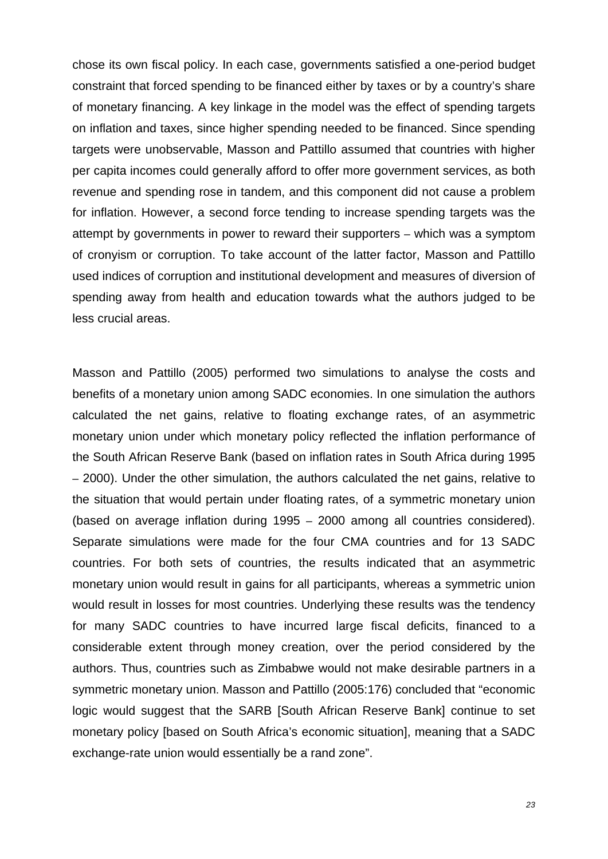chose its own fiscal policy. In each case, governments satisfied a one-period budget constraint that forced spending to be financed either by taxes or by a country's share of monetary financing. A key linkage in the model was the effect of spending targets on inflation and taxes, since higher spending needed to be financed. Since spending targets were unobservable, Masson and Pattillo assumed that countries with higher per capita incomes could generally afford to offer more government services, as both revenue and spending rose in tandem, and this component did not cause a problem for inflation. However, a second force tending to increase spending targets was the attempt by governments in power to reward their supporters – which was a symptom of cronyism or corruption. To take account of the latter factor, Masson and Pattillo used indices of corruption and institutional development and measures of diversion of spending away from health and education towards what the authors judged to be less crucial areas.

Masson and Pattillo (2005) performed two simulations to analyse the costs and benefits of a monetary union among SADC economies. In one simulation the authors calculated the net gains, relative to floating exchange rates, of an asymmetric monetary union under which monetary policy reflected the inflation performance of the South African Reserve Bank (based on inflation rates in South Africa during 1995 – 2000). Under the other simulation, the authors calculated the net gains, relative to the situation that would pertain under floating rates, of a symmetric monetary union (based on average inflation during 1995 – 2000 among all countries considered). Separate simulations were made for the four CMA countries and for 13 SADC countries. For both sets of countries, the results indicated that an asymmetric monetary union would result in gains for all participants, whereas a symmetric union would result in losses for most countries. Underlying these results was the tendency for many SADC countries to have incurred large fiscal deficits, financed to a considerable extent through money creation, over the period considered by the authors. Thus, countries such as Zimbabwe would not make desirable partners in a symmetric monetary union. Masson and Pattillo (2005:176) concluded that "economic logic would suggest that the SARB [South African Reserve Bank] continue to set monetary policy [based on South Africa's economic situation], meaning that a SADC exchange-rate union would essentially be a rand zone".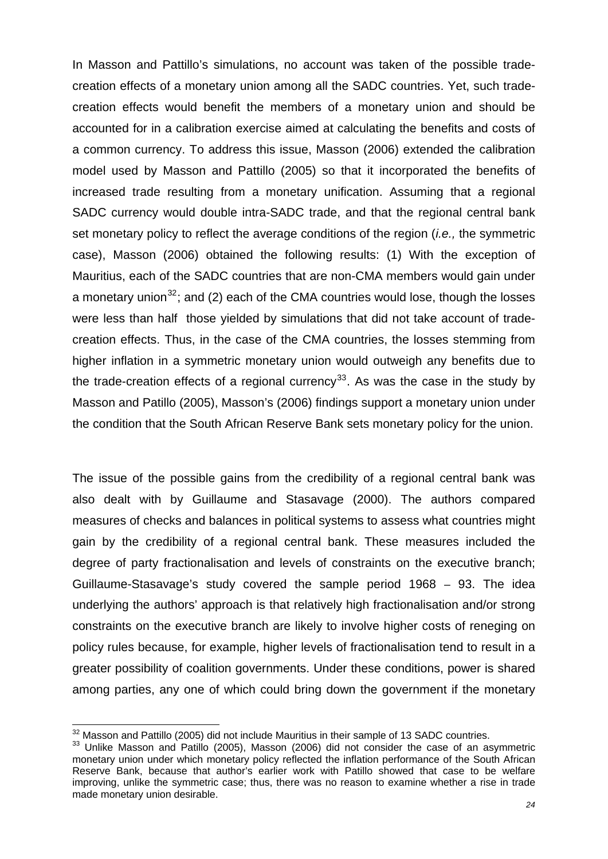<span id="page-26-0"></span>In Masson and Pattillo's simulations, no account was taken of the possible tradecreation effects of a monetary union among all the SADC countries. Yet, such tradecreation effects would benefit the members of a monetary union and should be accounted for in a calibration exercise aimed at calculating the benefits and costs of a common currency. To address this issue, Masson (2006) extended the calibration model used by Masson and Pattillo (2005) so that it incorporated the benefits of increased trade resulting from a monetary unification. Assuming that a regional SADC currency would double intra-SADC trade, and that the regional central bank set monetary policy to reflect the average conditions of the region (*i.e.,* the symmetric case), Masson (2006) obtained the following results: (1) With the exception of Mauritius, each of the SADC countries that are non-CMA members would gain under a monetary union<sup>[32](#page-26-0)</sup>; and (2) each of the CMA countries would lose, though the losses were less than half those yielded by simulations that did not take account of tradecreation effects. Thus, in the case of the CMA countries, the losses stemming from higher inflation in a symmetric monetary union would outweigh any benefits due to the trade-creation effects of a regional currency<sup>[33](#page-26-0)</sup>. As was the case in the study by Masson and Patillo (2005), Masson's (2006) findings support a monetary union under the condition that the South African Reserve Bank sets monetary policy for the union.

The issue of the possible gains from the credibility of a regional central bank was also dealt with by Guillaume and Stasavage (2000). The authors compared measures of checks and balances in political systems to assess what countries might gain by the credibility of a regional central bank. These measures included the degree of party fractionalisation and levels of constraints on the executive branch; Guillaume-Stasavage's study covered the sample period 1968 – 93. The idea underlying the authors' approach is that relatively high fractionalisation and/or strong constraints on the executive branch are likely to involve higher costs of reneging on policy rules because, for example, higher levels of fractionalisation tend to result in a greater possibility of coalition governments. Under these conditions, power is shared among parties, any one of which could bring down the government if the monetary

<sup>&</sup>lt;sup>32</sup> Masson and Pattillo (2005) did not include Mauritius in their sample of 13 SADC countries.

<sup>33</sup> Unlike Masson and Patillo (2005), Masson (2006) did not consider the case of an asymmetric monetary union under which monetary policy reflected the inflation performance of the South African Reserve Bank, because that author's earlier work with Patillo showed that case to be welfare improving, unlike the symmetric case; thus, there was no reason to examine whether a rise in trade made monetary union desirable.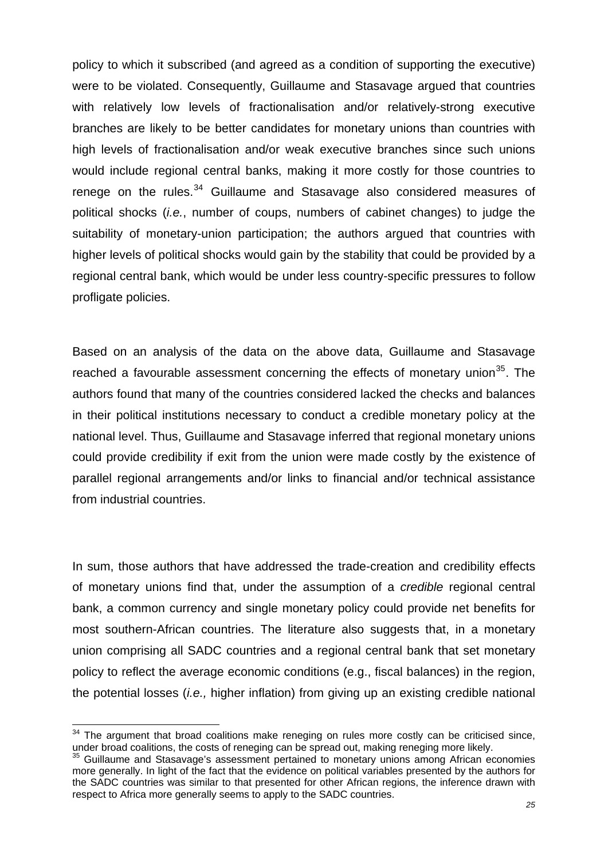<span id="page-27-0"></span>policy to which it subscribed (and agreed as a condition of supporting the executive) were to be violated. Consequently, Guillaume and Stasavage argued that countries with relatively low levels of fractionalisation and/or relatively-strong executive branches are likely to be better candidates for monetary unions than countries with high levels of fractionalisation and/or weak executive branches since such unions would include regional central banks, making it more costly for those countries to renege on the rules.<sup>[34](#page-27-0)</sup> Guillaume and Stasavage also considered measures of political shocks (*i.e.*, number of coups, numbers of cabinet changes) to judge the suitability of monetary-union participation; the authors argued that countries with higher levels of political shocks would gain by the stability that could be provided by a regional central bank, which would be under less country-specific pressures to follow profligate policies.

Based on an analysis of the data on the above data, Guillaume and Stasavage reached a favourable assessment concerning the effects of monetary union<sup>[35](#page-27-0)</sup>. The authors found that many of the countries considered lacked the checks and balances in their political institutions necessary to conduct a credible monetary policy at the national level. Thus, Guillaume and Stasavage inferred that regional monetary unions could provide credibility if exit from the union were made costly by the existence of parallel regional arrangements and/or links to financial and/or technical assistance from industrial countries.

In sum, those authors that have addressed the trade-creation and credibility effects of monetary unions find that, under the assumption of a *credible* regional central bank, a common currency and single monetary policy could provide net benefits for most southern-African countries. The literature also suggests that, in a monetary union comprising all SADC countries and a regional central bank that set monetary policy to reflect the average economic conditions (e.g., fiscal balances) in the region, the potential losses (*i.e.,* higher inflation) from giving up an existing credible national

 $34$  The argument that broad coalitions make reneging on rules more costly can be criticised since, under broad coalitions, the costs of reneging can be spread out, making reneging more likely.

<sup>&</sup>lt;sup>35</sup> Guillaume and Stasavage's assessment pertained to monetary unions among African economies more generally. In light of the fact that the evidence on political variables presented by the authors for the SADC countries was similar to that presented for other African regions, the inference drawn with respect to Africa more generally seems to apply to the SADC countries.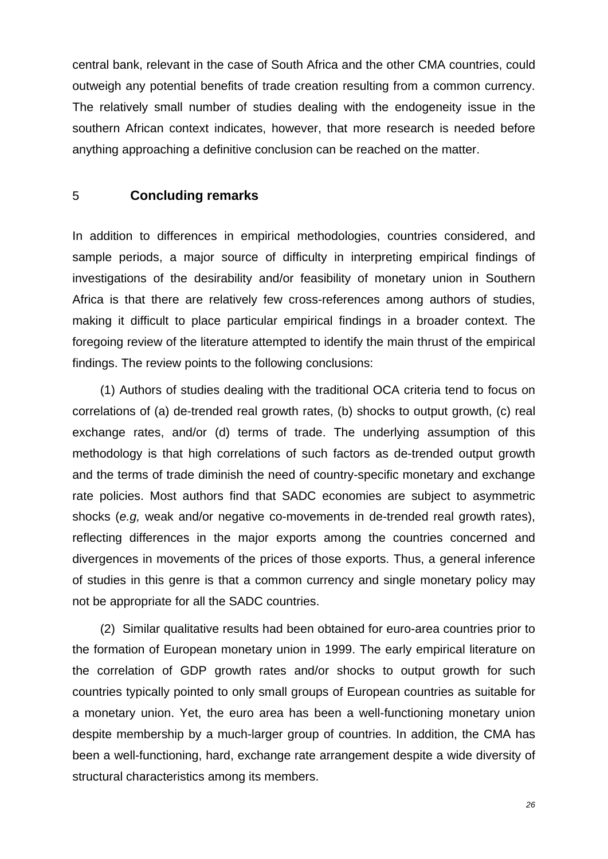<span id="page-28-0"></span>central bank, relevant in the case of South Africa and the other CMA countries, could outweigh any potential benefits of trade creation resulting from a common currency. The relatively small number of studies dealing with the endogeneity issue in the southern African context indicates, however, that more research is needed before anything approaching a definitive conclusion can be reached on the matter.

#### 5 **Concluding remarks**

In addition to differences in empirical methodologies, countries considered, and sample periods, a major source of difficulty in interpreting empirical findings of investigations of the desirability and/or feasibility of monetary union in Southern Africa is that there are relatively few cross-references among authors of studies, making it difficult to place particular empirical findings in a broader context. The foregoing review of the literature attempted to identify the main thrust of the empirical findings. The review points to the following conclusions:

(1) Authors of studies dealing with the traditional OCA criteria tend to focus on correlations of (a) de-trended real growth rates, (b) shocks to output growth, (c) real exchange rates, and/or (d) terms of trade. The underlying assumption of this methodology is that high correlations of such factors as de-trended output growth and the terms of trade diminish the need of country-specific monetary and exchange rate policies. Most authors find that SADC economies are subject to asymmetric shocks (*e.g,* weak and/or negative co-movements in de-trended real growth rates), reflecting differences in the major exports among the countries concerned and divergences in movements of the prices of those exports. Thus, a general inference of studies in this genre is that a common currency and single monetary policy may not be appropriate for all the SADC countries.

(2) Similar qualitative results had been obtained for euro-area countries prior to the formation of European monetary union in 1999. The early empirical literature on the correlation of GDP growth rates and/or shocks to output growth for such countries typically pointed to only small groups of European countries as suitable for a monetary union. Yet, the euro area has been a well-functioning monetary union despite membership by a much-larger group of countries. In addition, the CMA has been a well-functioning, hard, exchange rate arrangement despite a wide diversity of structural characteristics among its members.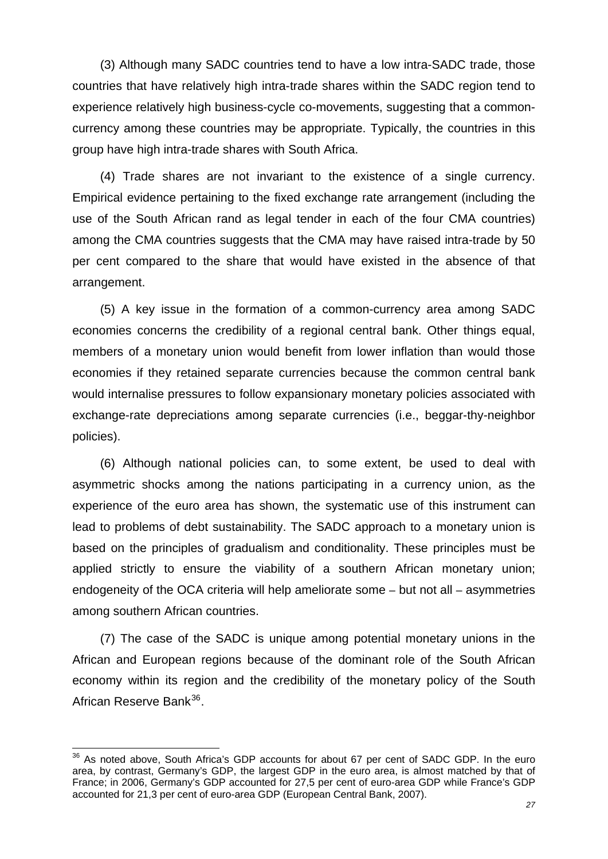<span id="page-29-0"></span>(3) Although many SADC countries tend to have a low intra-SADC trade, those countries that have relatively high intra-trade shares within the SADC region tend to experience relatively high business-cycle co-movements, suggesting that a commoncurrency among these countries may be appropriate. Typically, the countries in this group have high intra-trade shares with South Africa.

(4) Trade shares are not invariant to the existence of a single currency. Empirical evidence pertaining to the fixed exchange rate arrangement (including the use of the South African rand as legal tender in each of the four CMA countries) among the CMA countries suggests that the CMA may have raised intra-trade by 50 per cent compared to the share that would have existed in the absence of that arrangement.

(5) A key issue in the formation of a common-currency area among SADC economies concerns the credibility of a regional central bank. Other things equal, members of a monetary union would benefit from lower inflation than would those economies if they retained separate currencies because the common central bank would internalise pressures to follow expansionary monetary policies associated with exchange-rate depreciations among separate currencies (i.e., beggar-thy-neighbor policies).

(6) Although national policies can, to some extent, be used to deal with asymmetric shocks among the nations participating in a currency union, as the experience of the euro area has shown, the systematic use of this instrument can lead to problems of debt sustainability. The SADC approach to a monetary union is based on the principles of gradualism and conditionality. These principles must be applied strictly to ensure the viability of a southern African monetary union; endogeneity of the OCA criteria will help ameliorate some – but not all – asymmetries among southern African countries.

(7) The case of the SADC is unique among potential monetary unions in the African and European regions because of the dominant role of the South African economy within its region and the credibility of the monetary policy of the South African Reserve Bank<sup>[36](#page-29-0)</sup>.

 $\overline{a}$ 

<sup>&</sup>lt;sup>36</sup> As noted above. South Africa's GDP accounts for about 67 per cent of SADC GDP. In the euro area, by contrast, Germany's GDP, the largest GDP in the euro area, is almost matched by that of France; in 2006, Germany's GDP accounted for 27,5 per cent of euro-area GDP while France's GDP accounted for 21,3 per cent of euro-area GDP (European Central Bank, 2007).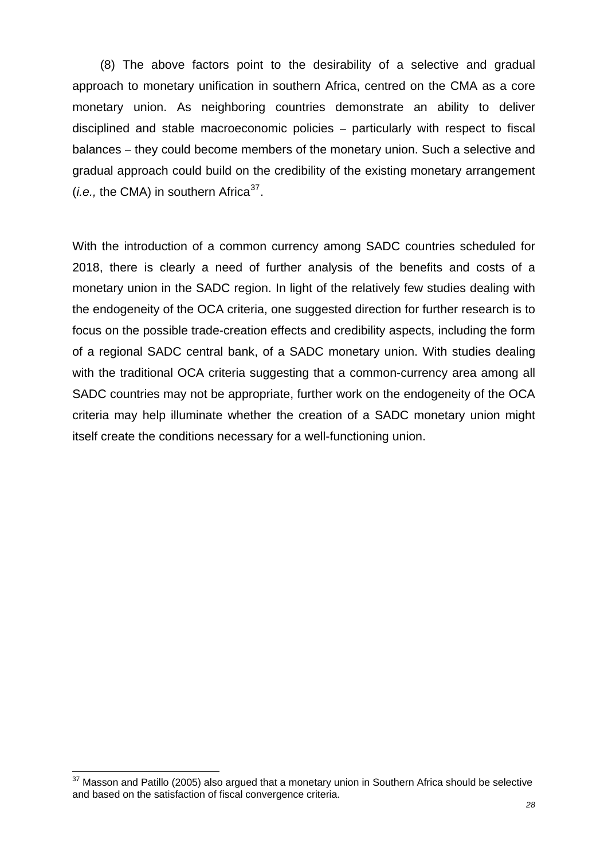<span id="page-30-0"></span>(8) The above factors point to the desirability of a selective and gradual approach to monetary unification in southern Africa, centred on the CMA as a core monetary union. As neighboring countries demonstrate an ability to deliver disciplined and stable macroeconomic policies – particularly with respect to fiscal balances – they could become members of the monetary union. Such a selective and gradual approach could build on the credibility of the existing monetary arrangement  $(i.e., the CMA)$  in southern Africa<sup>[37](#page-30-0)</sup>.

With the introduction of a common currency among SADC countries scheduled for 2018, there is clearly a need of further analysis of the benefits and costs of a monetary union in the SADC region. In light of the relatively few studies dealing with the endogeneity of the OCA criteria, one suggested direction for further research is to focus on the possible trade-creation effects and credibility aspects, including the form of a regional SADC central bank, of a SADC monetary union. With studies dealing with the traditional OCA criteria suggesting that a common-currency area among all SADC countries may not be appropriate, further work on the endogeneity of the OCA criteria may help illuminate whether the creation of a SADC monetary union might itself create the conditions necessary for a well-functioning union.

 $37$  Masson and Patillo (2005) also argued that a monetary union in Southern Africa should be selective and based on the satisfaction of fiscal convergence criteria.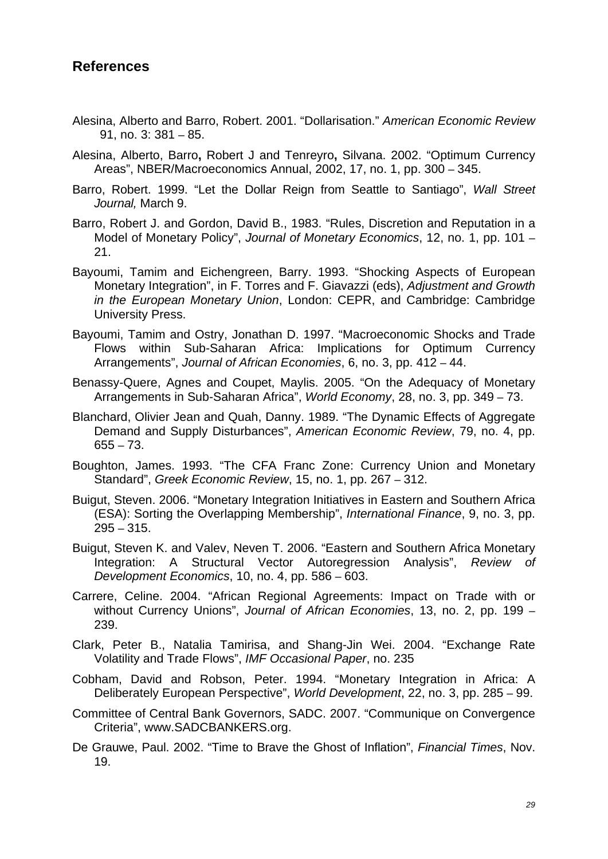## <span id="page-31-0"></span>**References**

- Alesina, Alberto and Barro, Robert. 2001. "Dollarisation." *American Economic Review* 91, no. 3: 381 – 85.
- Alesina, Alberto, Barro**,** Robert J and Tenreyro**,** Silvana. 2002. "Optimum Currency Areas", NBER/Macroeconomics Annual, 2002, 17, no. 1, pp. 300 – 345.
- Barro, Robert. 1999. "Let the Dollar Reign from Seattle to Santiago", *Wall Street Journal,* March 9.
- Barro, Robert J. and Gordon, David B., 1983. "Rules, Discretion and Reputation in a Model of Monetary Policy", *Journal of Monetary Economics*, 12, no. 1, pp. 101 – 21.
- Bayoumi, Tamim and Eichengreen, Barry. 1993. "[Shocking](http://web.ebscohost.com/ehost/viewarticle?data=dGJyMPPp44rp2%2fdV0%2bnjisfk5Ie46bNRtaavULCk63nn5Kx95uXxjL6vrUutqK5ItZazUrOquEu2lr9lpOrweezp33vy3%2b2G59q7RbOotEyyrrZLtJzqeezdu33snOJ6u9vhhqTq33%2b7t8w%2b3%2bS7SLKqrkqwraR%2b7ejrefKz5I3q4tJ99uoA&hid=104) Aspects of European Monetary Integration", in F. Torres and F. Giavazzi (eds), *Adjustment and Growth in the European Monetary Union*, London: CEPR, and Cambridge: Cambridge University Press.
- Bayoumi, Tamim and Ostry, Jonathan D. 1997. "[Macroeconomic Shocks and Trade](http://web.ebscohost.com/ehost/viewarticle?data=dGJyMPPp44rp2%2fdV0%2bnjisfk5Ie46bNRtaavULCk63nn5Kx95uXxjL6vrUutqK5ItZazUrOquEu2lr9lpOrweezp33vy3%2b2G59q7RbOotEyyrrZLtJzqeezdu33snOJ6u9vhhqTq33%2b7t8w%2b3%2bS7SLKqrkqwraR%2b7ejrefKz5I3q4tJ99uoA&hid=104)  [Flows within Sub-Saharan Africa: Implications for Optimum Currency](http://web.ebscohost.com/ehost/viewarticle?data=dGJyMPPp44rp2%2fdV0%2bnjisfk5Ie46bNRtaavULCk63nn5Kx95uXxjL6vrUutqK5ItZazUrOquEu2lr9lpOrweezp33vy3%2b2G59q7RbOotEyyrrZLtJzqeezdu33snOJ6u9vhhqTq33%2b7t8w%2b3%2bS7SLKqrkqwraR%2b7ejrefKz5I3q4tJ99uoA&hid=104)  [Arrangements"](http://web.ebscohost.com/ehost/viewarticle?data=dGJyMPPp44rp2%2fdV0%2bnjisfk5Ie46bNRtaavULCk63nn5Kx95uXxjL6vrUutqK5ItZazUrOquEu2lr9lpOrweezp33vy3%2b2G59q7RbOotEyyrrZLtJzqeezdu33snOJ6u9vhhqTq33%2b7t8w%2b3%2bS7SLKqrkqwraR%2b7ejrefKz5I3q4tJ99uoA&hid=104), *Journal of African Economies*, 6, no. 3, pp. 412 – 44.
- Benassy-Quere, Agnes and Coupet, Maylis. 2005. "[On the Adequacy of Monetary](http://web.ebscohost.com/ehost/viewarticle?data=dGJyMPPp44rp2%2fdV0%2bnjisfk5Ie46bNRtaavULCk63nn5Kx95uXxjL6vrUutqK5ItZazUrOquEu2lr9lpOrweezp33vy3%2b2G59q7RbOotEyyrrZLtJzqeezdu33snOJ6u9vhhqTq33%2b7t8w%2b3%2bS7SLWttkmurqR%2b7ejrefKz5I3q4tJ99uoA&hid=104)  [Arrangements in Sub-Saharan Africa](http://web.ebscohost.com/ehost/viewarticle?data=dGJyMPPp44rp2%2fdV0%2bnjisfk5Ie46bNRtaavULCk63nn5Kx95uXxjL6vrUutqK5ItZazUrOquEu2lr9lpOrweezp33vy3%2b2G59q7RbOotEyyrrZLtJzqeezdu33snOJ6u9vhhqTq33%2b7t8w%2b3%2bS7SLWttkmurqR%2b7ejrefKz5I3q4tJ99uoA&hid=104)", *World Economy*, 28, no. 3, pp. 349 – 73.
- Blanchard, Olivier Jean and Quah, Danny. 1989. "[The Dynamic Effects of Aggregate](http://web.ebscohost.com/ehost/viewarticle?data=dGJyMPPp44rp2%2fdV0%2bnjisfk5Ie46bNRtaavULCk63nn5Kx95uXxjL6vrUutqK5ItZazUrOuuE2xlr9lpOrweezp33vy3%2b2G59q7RbOpsk%2bxq65OsJzqeezdu33snOJ6u9vhhqTq33%2b7t8w%2b3%2bS7SLCoskuuqqR%2b7ejrefKz5I3q4tJ99uoA&hid=122)  [Demand and Supply Disturbances](http://web.ebscohost.com/ehost/viewarticle?data=dGJyMPPp44rp2%2fdV0%2bnjisfk5Ie46bNRtaavULCk63nn5Kx95uXxjL6vrUutqK5ItZazUrOuuE2xlr9lpOrweezp33vy3%2b2G59q7RbOpsk%2bxq65OsJzqeezdu33snOJ6u9vhhqTq33%2b7t8w%2b3%2bS7SLCoskuuqqR%2b7ejrefKz5I3q4tJ99uoA&hid=122)", *American Economic Review*, 79, no. 4, pp. 655 – 73.
- Boughton, James. 1993. "The CFA Franc Zone: Currency Union and Monetary Standard", *Greek Economic Review*, 15, no. 1, pp. 267 – 312.
- Buigut, Steven. 2006. ["Monetary Integration Initiatives in Eastern and Southern Africa](http://web.ebscohost.com/ehost/viewarticle?data=dGJyMPPp44rp2%2fdV0%2bnjisfk5Ie46bNRtaavULCk63nn5Kx95uXxjL6vrUutqK5ItZa0UrCuuEmzlr9lpOrweezp33vy3%2b2G59q7RbOpsk%2bxq65OsJzqeezdu33snOJ6u9vhhqTq33%2b7t8w%2b3%2bS7SLavsU6yqaR%2b7ejrefKz5I3q4tJ99uoA&hid=122)  [\(ESA\): Sorting the Overlapping Membership](http://web.ebscohost.com/ehost/viewarticle?data=dGJyMPPp44rp2%2fdV0%2bnjisfk5Ie46bNRtaavULCk63nn5Kx95uXxjL6vrUutqK5ItZa0UrCuuEmzlr9lpOrweezp33vy3%2b2G59q7RbOpsk%2bxq65OsJzqeezdu33snOJ6u9vhhqTq33%2b7t8w%2b3%2bS7SLavsU6yqaR%2b7ejrefKz5I3q4tJ99uoA&hid=122)", *International Finance*, 9, no. 3, pp. 295 – 315.
- Buigut, Steven K. and Valev, Neven T. 2006. "[Eastern and Southern Africa Monetary](http://web.ebscohost.com/ehost/viewarticle?data=dGJyMPPp44rp2%2fdV0%2bnjisfk5Ie46bNRtaavULCk63nn5Kx95uXxjL6vrUutqK5ItZa0UrCuuEmzlr9lpOrweezp33vy3%2b2G59q7RbOpsk%2bxq65OsJzqeezdu33snOJ6u9vhhqTq33%2b7t8w%2b3%2bS7SLavs0i1pqR%2b7ejrefKz5I3q4tJ99uoA&hid=122)  [Integration: A Structural Vector Autoregression Analysis](http://web.ebscohost.com/ehost/viewarticle?data=dGJyMPPp44rp2%2fdV0%2bnjisfk5Ie46bNRtaavULCk63nn5Kx95uXxjL6vrUutqK5ItZa0UrCuuEmzlr9lpOrweezp33vy3%2b2G59q7RbOpsk%2bxq65OsJzqeezdu33snOJ6u9vhhqTq33%2b7t8w%2b3%2bS7SLavs0i1pqR%2b7ejrefKz5I3q4tJ99uoA&hid=122)", *Review of Development Economics*, 10, no. 4, pp. 586 – 603.
- Carrere, Celine. 2004. ["African Regional Agreements: Impact on Trade with or](http://web.ebscohost.com/ehost/viewarticle?data=dGJyMPPp44rp2%2fdV0%2bnjisfk5Ie46bNRtaavULCk63nn5Kx95uXxjL6vrUutqK5ItZa0UrCquEqzlr9lpOrweezp33vy3%2b2G59q7RbOpsk%2bxq65OsJzqeezdu33snOJ6u9vhhqTq33%2b7t8w%2b3%2bS7SLWqsUy2qqR%2b7ejrefKz5I3q4tJ99uoA&hid=12)  [without Currency Unions](http://web.ebscohost.com/ehost/viewarticle?data=dGJyMPPp44rp2%2fdV0%2bnjisfk5Ie46bNRtaavULCk63nn5Kx95uXxjL6vrUutqK5ItZa0UrCquEqzlr9lpOrweezp33vy3%2b2G59q7RbOpsk%2bxq65OsJzqeezdu33snOJ6u9vhhqTq33%2b7t8w%2b3%2bS7SLWqsUy2qqR%2b7ejrefKz5I3q4tJ99uoA&hid=12)", *Journal of African Economies*, 13, no. 2, pp. 199 – 239.
- Clark, Peter B., Natalia Tamirisa, and Shang-Jin Wei. 2004. "Exchange Rate Volatility and Trade Flows", *IMF Occasional Paper*, no. 235
- Cobham, David and Robson, Peter. 1994. ["Monetary Integration in Africa: A](http://web.ebscohost.com/ehost/viewarticle?data=dGJyMPPp44rp2%2fdV0%2bnjisfk5Ie46bNRtaavULCk63nn5Kx95uXxjL6vrUutqK5ItZa0UrKnuEqxlr9lpOrweezp33vy3%2b2G59q7RbOpsk%2bxq65OsJzqeezdu33snOJ6u9vhhqTq33%2b7t8w%2b3%2bS7SLGpsEqxqKR%2b7ejrefKz5I3q4tJ99uoA&hid=2)  [Deliberately European Perspective"](http://web.ebscohost.com/ehost/viewarticle?data=dGJyMPPp44rp2%2fdV0%2bnjisfk5Ie46bNRtaavULCk63nn5Kx95uXxjL6vrUutqK5ItZa0UrKnuEqxlr9lpOrweezp33vy3%2b2G59q7RbOpsk%2bxq65OsJzqeezdu33snOJ6u9vhhqTq33%2b7t8w%2b3%2bS7SLGpsEqxqKR%2b7ejrefKz5I3q4tJ99uoA&hid=2), *World Development*, 22, no. 3, pp. 285 – 99.
- Committee of Central Bank Governors, SADC. 2007. "Communique on Convergence Criteria", www.SADCBANKERS.org.
- De Grauwe, Paul. 2002. "Time to Brave the Ghost of Inflation", *Financial Times*, Nov. 19.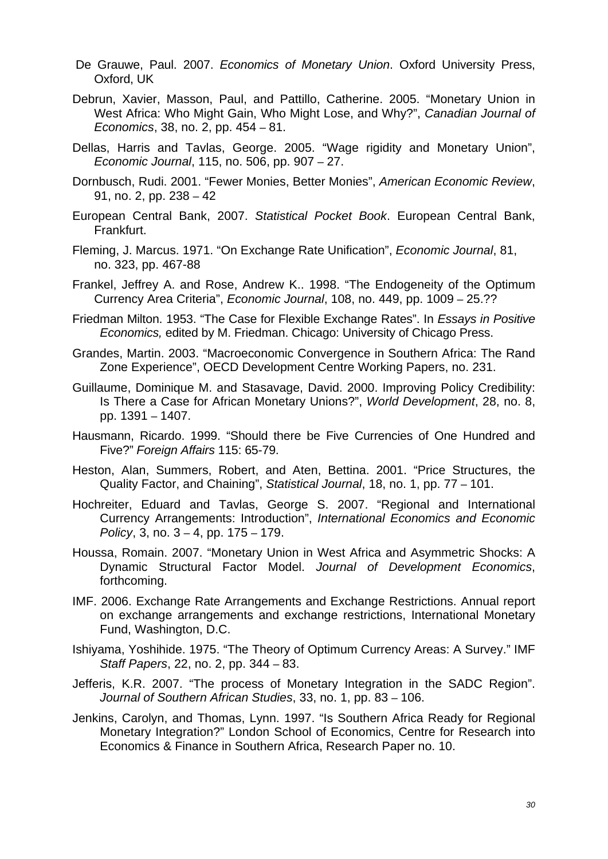- De Grauwe, Paul. 2007. *Economics of Monetary Union*. Oxford University Press, Oxford, UK
- Debrun, Xavier, Masson, Paul, and Pattillo, Catherine. 2005. ["Monetary Union in](http://web.ebscohost.com/ehost/viewarticle?data=dGJyMPPp44rp2%2fdV0%2bnjisfk5Ie46bNRtaavULCk63nn5Kx95uXxjL6vrUutqK5ItZa0UrKnuEqxlr9lpOrweezp33vy3%2b2G59q7RbOpsk%2bxq65OsJzqeezdu33snOJ6u9vhhqTq33%2b7t8w%2b3%2bS7SLWutk21qqR%2b7ejrefKz5I3q4tJ99uoA&hid=2)  [West Africa: Who Might Gain, Who Might Lose, and Why?"](http://web.ebscohost.com/ehost/viewarticle?data=dGJyMPPp44rp2%2fdV0%2bnjisfk5Ie46bNRtaavULCk63nn5Kx95uXxjL6vrUutqK5ItZa0UrKnuEqxlr9lpOrweezp33vy3%2b2G59q7RbOpsk%2bxq65OsJzqeezdu33snOJ6u9vhhqTq33%2b7t8w%2b3%2bS7SLWutk21qqR%2b7ejrefKz5I3q4tJ99uoA&hid=2), *Canadian Journal of Economics*, 38, no. 2, pp. 454 – 81.
- Dellas, Harris and Tavlas, George. 2005. "Wage rigidity and Monetary Union", *Economic Journal*, 115, no. 506, pp. 907 – 27.
- Dornbusch, Rudi. 2001. "Fewer Monies, Better Monies", *American Economic Review*, 91, no. 2, pp. 238 – 42
- European Central Bank, 2007. *Statistical Pocket Book*. European Central Bank, Frankfurt.
- Fleming, J. Marcus. 1971. "On Exchange Rate Unification", *Economic Journal*, 81, no. 323, pp. 467-88
- Frankel, Jeffrey A. and Rose, Andrew K.. 1998. "[The Endogeneity of the Optimum](http://web.ebscohost.com/ehost/viewarticle?data=dGJyMPPp44rp2%2fdV0%2bnjisfk5Ie46bNRtaavULCk63nn5Kx95uXxjL6vrUutqK5ItZa0UrKnuEqxlr9lpOrweezp33vy3%2b2G59q7RbOpsk%2bxq65OsJzqeezdu33snOJ6u9vhhqTq33%2b7t8w%2b3%2bS7SLKttE%2b1qKR%2b7ejrefKz5I3q4tJ99uoA&hid=2)  [Currency Area Criteria"](http://web.ebscohost.com/ehost/viewarticle?data=dGJyMPPp44rp2%2fdV0%2bnjisfk5Ie46bNRtaavULCk63nn5Kx95uXxjL6vrUutqK5ItZa0UrKnuEqxlr9lpOrweezp33vy3%2b2G59q7RbOpsk%2bxq65OsJzqeezdu33snOJ6u9vhhqTq33%2b7t8w%2b3%2bS7SLKttE%2b1qKR%2b7ejrefKz5I3q4tJ99uoA&hid=2), *Economic Journal*, 108, no. 449, pp. 1009 – 25.??
- Friedman Milton. 1953. "The Case for Flexible Exchange Rates". In *Essays in Positive Economics,* edited by M. Friedman. Chicago: University of Chicago Press.
- Grandes, Martin. 2003. "Macroeconomic Convergence in Southern Africa: The Rand Zone Experience", OECD Development Centre Working Papers, no. 231.
- Guillaume, Dominique M. and Stasavage, David. 2000. [Improving Policy Credibility:](http://web.ebscohost.com/ehost/viewarticle?data=dGJyMPPp44rp2%2fdV0%2bnjisfk5Ie46bNRtaavULCk63nn5Kx95uXxjL6vrUutqK5ItZa0UrKnuEqxlr9lpOrweezp33vy3%2b2G59q7RbOpsk%2bxq65OsJzqeezdu33snOJ6u9vhhqTq33%2b7t8w%2b3%2bS7SLOqtVCuqKR%2b7ejrefKz5I3q4tJ99uoA&hid=2)  [Is There a Case for African Monetary Unions?"](http://web.ebscohost.com/ehost/viewarticle?data=dGJyMPPp44rp2%2fdV0%2bnjisfk5Ie46bNRtaavULCk63nn5Kx95uXxjL6vrUutqK5ItZa0UrKnuEqxlr9lpOrweezp33vy3%2b2G59q7RbOpsk%2bxq65OsJzqeezdu33snOJ6u9vhhqTq33%2b7t8w%2b3%2bS7SLOqtVCuqKR%2b7ejrefKz5I3q4tJ99uoA&hid=2), *World Development*, 28, no. 8, pp. 1391 – 1407.
- Hausmann, Ricardo. 1999. "Should there be Five Currencies of One Hundred and Five?" *Foreign Affairs* 115: 65-79.
- Heston, Alan, Summers, Robert, and Aten, Bettina. 2001. "Price Structures, the Quality Factor, and Chaining", *Statistical Journal*, 18, no. 1, pp. 77 – 101.
- Hochreiter, Eduard and Tavlas, George S. 2007. "Regional and International Currency Arrangements: Introduction", *International Economics and Economic Policy*, 3, no. 3 – 4, pp. 175 – 179.
- Houssa, Romain. 2007. "Monetary Union in West Africa and Asymmetric Shocks: A Dynamic Structural Factor Model. *Journal of Development Economics*, forthcoming.
- IMF. 2006. Exchange Rate Arrangements and Exchange Restrictions. Annual report on exchange arrangements and exchange restrictions, International Monetary Fund, Washington, D.C.
- Ishiyama, Yoshihide. 1975. "[The Theory of Optimum Currency Areas: A Survey.](http://web.ebscohost.com/ehost/viewarticle?data=dGJyMPPp44rp2%2fdV0%2bnjisfk5Ie46bNRtaavULCk63nn5Kx95uXxjL6vrUutqK5ItZa0UrOvuEuxlr9lpOrweezp33vy3%2b2G59q7RbOpsk%2bxq65OsJzqeezdu33snOJ6u9vhhqTq33%2b7t8w%2b3%2bS7SK6utU6vpqR%2b7ejrefKz5I3q4tJ99uoA&hid=122)" IMF *Staff Papers*, 22, no. 2, pp. 344 – 83.
- Jefferis, K.R. 2007. "The process of Monetary Integration in the SADC Region". *Journal of Southern African Studies*, 33, no. 1, pp. 83 – 106.
- Jenkins, Carolyn, and Thomas, Lynn. 1997. "Is Southern Africa Ready for Regional Monetary Integration?" London School of Economics, Centre for Research into Economics & Finance in Southern Africa, Research Paper no. 10.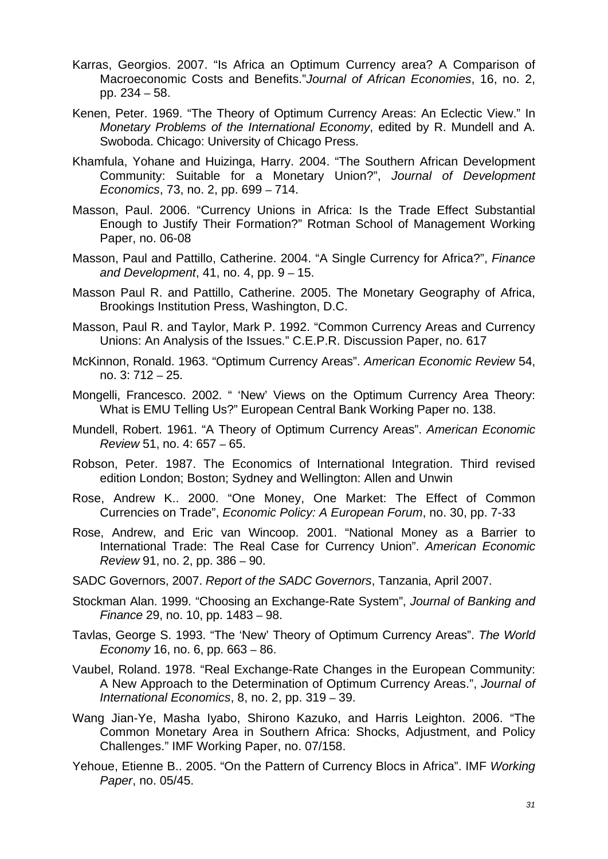- Karras, Georgios. 2007. "Is Africa an Optimum Currency area? A Comparison of Macroeconomic Costs and Benefits."*Journal of African Economies*, 16, no. 2, pp. 234 – 58.
- Kenen, Peter. 1969. "The Theory of Optimum Currency Areas: An Eclectic View." In *Monetary Problems of the International Economy*, edited by R. Mundell and A. Swoboda. Chicago: University of Chicago Press.
- Khamfula, Yohane and Huizinga, Harry. 2004. "The Southern African Development Community: Suitable for a Monetary Union?", *Journal of Development Economics*, 73, no. 2, pp. 699 – 714.
- Masson, Paul. 2006. "Currency Unions in Africa: Is the Trade Effect Substantial Enough to Justify Their Formation?" Rotman School of Management Working Paper, no. 06-08
- Masson, Paul and Pattillo, Catherine. 2004. "[A Single Currency for Africa?](http://web.ebscohost.com/ehost/viewarticle?data=dGJyMPPp44rp2%2fdV0%2bnjisfk5Ie46bNRtaavULCk63nn5Kx95uXxjL6vrUutqK5ItZa1UrCruEq0lr9lpOrweezp33vy3%2b2G59q7RbOpsk%2bxq65OsJzqeezdu33snOJ6u9vhhqTq33%2b7t8w%2b3%2bS7SLWvtUu2q6R%2b7ejrefKz5I3q4tJ99uoA&hid=12)", *Finance and Development*, 41, no. 4, pp. 9 – 15.
- Masson Paul R. and Pattillo, Catherine. 2005. The Monetary Geography of Africa, Brookings Institution Press, Washington, D.C.
- Masson, Paul R. and Taylor, Mark P. 1992. "[Common Currency Areas and Currency](http://web.ebscohost.com/ehost/viewarticle?data=dGJyMPPp44rp2%2fdV0%2bnjisfk5Ie46bNRtaavULCk63nn5Kx95uXxjL6vrUutqK5ItZa1UrCruEq0lr9lpOrweezp33vy3%2b2G59q7RbOpsk%2bxq65OsJzqeezdu33snOJ6u9vhhqTq33%2b7t8w%2b3%2bS7SLSvr1GuqKR%2b7ejrefKz5I3q4tJ99uoA&hid=12)  [Unions: An Analysis of the Issues](http://web.ebscohost.com/ehost/viewarticle?data=dGJyMPPp44rp2%2fdV0%2bnjisfk5Ie46bNRtaavULCk63nn5Kx95uXxjL6vrUutqK5ItZa1UrCruEq0lr9lpOrweezp33vy3%2b2G59q7RbOpsk%2bxq65OsJzqeezdu33snOJ6u9vhhqTq33%2b7t8w%2b3%2bS7SLSvr1GuqKR%2b7ejrefKz5I3q4tJ99uoA&hid=12)." C.E.P.R. Discussion Paper, no. 617
- McKinnon, Ronald. 1963. "Optimum Currency Areas". *American Economic Review* 54, no. 3: 712 – 25.
- Mongelli, Francesco. 2002. " 'New' Views on the Optimum Currency Area Theory: What is EMU Telling Us?" European Central Bank Working Paper no. 138.
- Mundell, Robert. 1961. "A Theory of Optimum Currency Areas". *American Economic Review* 51, no. 4: 657 – 65.
- Robson, Peter. 1987. The Economics of International Integration. Third revised edition London; Boston; Sydney and Wellington: Allen and Unwin
- Rose, Andrew K.. 2000. "One Money, One Market: The Effect of Common Currencies on Trade", *Economic Policy: A European Forum*, no. 30, pp. 7-33
- Rose, Andrew, and Eric van Wincoop. 2001. "National Money as a Barrier to International Trade: The Real Case for Currency Union". *American Economic Review* 91, no. 2, pp. 386 – 90.
- SADC Governors, 2007. *Report of the SADC Governors*, Tanzania, April 2007.
- Stockman Alan. 1999. "Choosing an Exchange-Rate System", *Journal of Banking and Finance* 29, no. 10, pp. 1483 – 98.
- Tavlas, George S. 1993. "The 'New' Theory of Optimum Currency Areas". *The World Economy* 16, no. 6, pp. 663 – 86.
- Vaubel, Roland. 1978. ["Real Exchange-Rate Changes in the European Community:](http://web.ebscohost.com/ehost/viewarticle?data=dGJyMPPp44rp2%2fdV0%2bnjisfk5Ie46bNRtaavULCk63nn5Kx95uXxjL6vrUutqK5ItZa1UrKnuEm1lr9lpOrweezp33vy3%2b2G59q7RbOpsk%2bxq65OsJzqeezdu33snOJ6u9vhhqTq33%2b7t8w%2b3%2bS7SK%2bms0%2bzp6R%2b7ejrefKz5I3q4tJ99uoA&hid=105)  [A New Approach to the Determination of Optimum Currency Areas](http://web.ebscohost.com/ehost/viewarticle?data=dGJyMPPp44rp2%2fdV0%2bnjisfk5Ie46bNRtaavULCk63nn5Kx95uXxjL6vrUutqK5ItZa1UrKnuEm1lr9lpOrweezp33vy3%2b2G59q7RbOpsk%2bxq65OsJzqeezdu33snOJ6u9vhhqTq33%2b7t8w%2b3%2bS7SK%2bms0%2bzp6R%2b7ejrefKz5I3q4tJ99uoA&hid=105).", *Journal of International Economics*, 8, no. 2, pp. 319 – 39.
- Wang Jian-Ye, Masha Iyabo, Shirono Kazuko, and Harris Leighton. 2006. "The Common Monetary Area in Southern Africa: Shocks, Adjustment, and Policy Challenges." IMF Working Paper, no. 07/158.
- Yehoue, Etienne B.. 2005. "On the Pattern of Currency Blocs in Africa". IMF *Working Paper*, no. 05/45.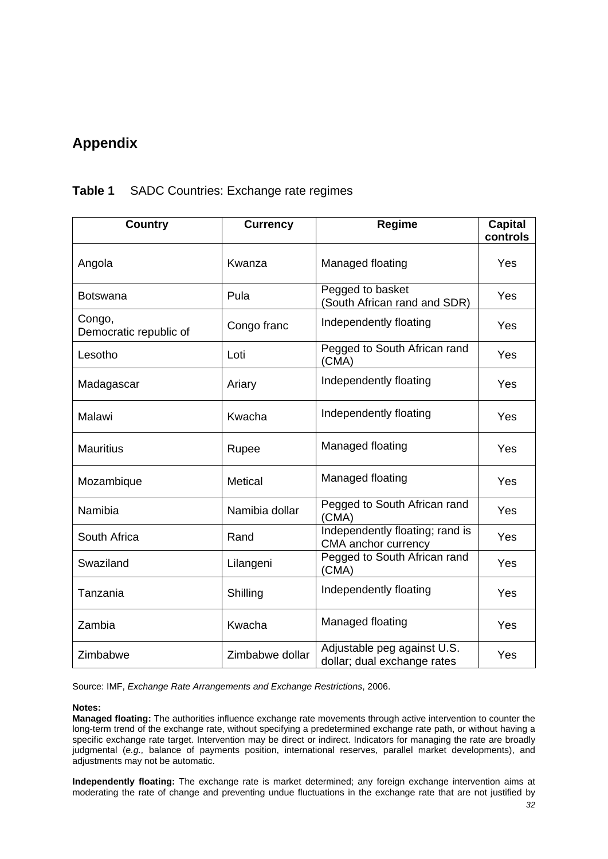## <span id="page-34-0"></span>**Appendix**

# **Country Currency Regime Capital controls** Angola (Kwanza Managed floating Yes Botswana Pula Pula Pegged to basket (South African rand and SDR) Yes Congo. Congo,<br>Democratic republic of Congo franc | Independently floating | Yes Lesotho Loti Pegged to South African rand (CMA) Yes Madagascar  $\vert$  Ariary  $\vert$  Independently floating  $\vert$  Yes Malawi **Independently floating**  $Y_{\text{res}}$ Mauritius Rupee Managed floating Yes Mozambique Metical Managed floating Yes Namibia **Namibia dollar** Pegged to South African rand Yes Yes South Africa Rand Rand Independently floating; rand is maependently hoating, rand is ves Swaziland **Example 2** Lilangeni Pegged to South African rand Yes Tanzania  $\vert$  Shilling | Independently floating | Yes Zambia  $\vert$  Kwacha  $\vert$  Managed floating  $\vert$  Yes  $\mathsf{Z}$ imbabwe  $\mathsf{Z}$ imbabwe dollar  $\mathsf{A}$ djustable peg against U.S. Adjustable peg against 0.3.<br>dollar; dual exchange rates

#### **Table 1** SADC Countries: Exchange rate regimes

Source: IMF, *Exchange Rate Arrangements and Exchange Restrictions*, 2006.

#### **Notes:**

**Managed floating:** The authorities influence exchange rate movements through active intervention to counter the long-term trend of the exchange rate, without specifying a predetermined exchange rate path, or without having a specific exchange rate target. Intervention may be direct or indirect. Indicators for managing the rate are broadly judgmental (*e.g.,* balance of payments position, international reserves, parallel market developments), and adjustments may not be automatic.

**Independently floating:** The exchange rate is market determined; any foreign exchange intervention aims at moderating the rate of change and preventing undue fluctuations in the exchange rate that are not justified by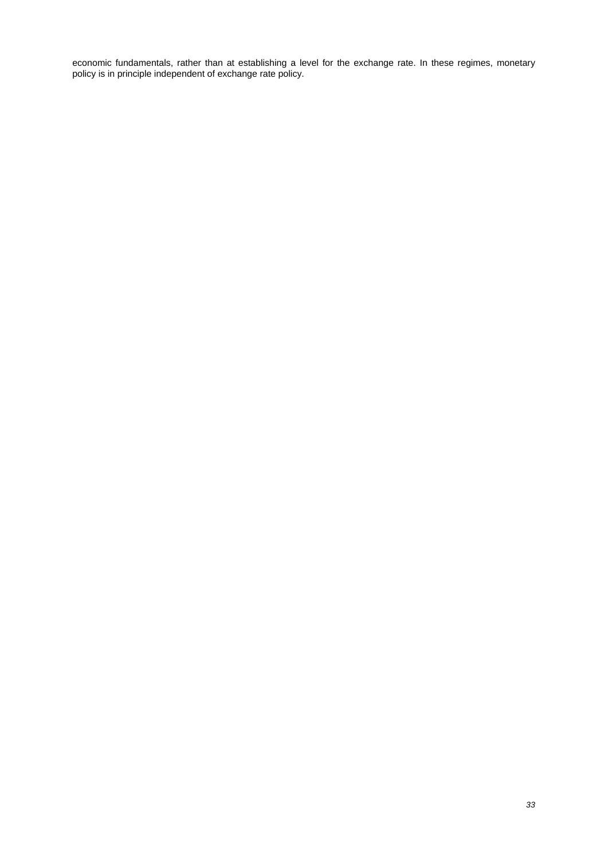economic fundamentals, rather than at establishing a level for the exchange rate. In these regimes, monetary policy is in principle independent of exchange rate policy.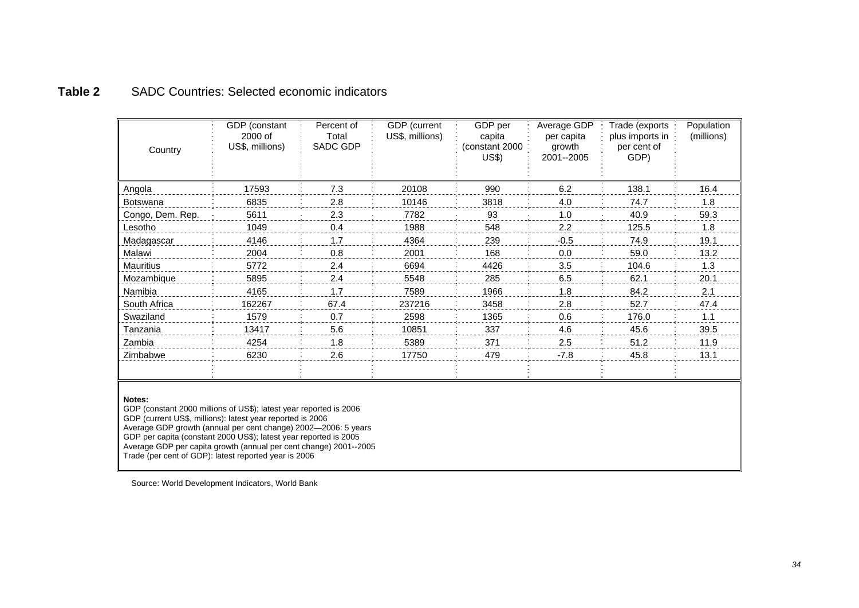## **Table 2** SADC Countries: Selected economic indicators

| Country          | GDP (constant<br>2000 of<br>US\$, millions) | Percent of<br>Total<br>SADC GDP | GDP (current<br>US\$, millions) | GDP per<br>capita<br>(constant 2000<br><b>US\$)</b> | Average GDP<br>per capita<br>growth<br>2001--2005 | Trade (exports<br>plus imports in<br>per cent of<br>GDP) | Population<br>(millions) |
|------------------|---------------------------------------------|---------------------------------|---------------------------------|-----------------------------------------------------|---------------------------------------------------|----------------------------------------------------------|--------------------------|
| Angola           | 17593                                       | 7.3                             | 20108                           | 990                                                 | 6.2                                               | 138.1                                                    | 16.4                     |
| <b>Botswana</b>  | 6835                                        | 2.8                             | 10146                           | 3818                                                | 4.0                                               | 74.7                                                     | 1.8                      |
| Congo, Dem. Rep. | 5611                                        | 2.3                             | 7782                            | 93                                                  | 1.0                                               | 40.9                                                     | 59.3                     |
| Lesotho          | 1049                                        | 0.4                             | 1988                            | 548                                                 | 2.2                                               | 125.5                                                    | 1.8                      |
| Madagascar       | 4146                                        | 1.7                             | 4364                            | 239                                                 | $-0.5$                                            | 74.9                                                     | 19.1                     |
| Malawi           | 2004                                        | 0.8                             | 2001                            | 168                                                 | 0.0                                               | 59.0                                                     | 13.2                     |
| <b>Mauritius</b> | 5772                                        | 2.4                             | 6694                            | 4426                                                | 3.5                                               | 104.6                                                    | 1.3                      |
| Mozambique       | 5895                                        | 2.4                             | 5548                            | 285                                                 | 6.5                                               | 62.1                                                     | 20.1                     |
| Namibia          | 4165                                        | 1.7                             | 7589                            | 1966                                                | 1.8                                               | 84.2                                                     | 2.1                      |
| South Africa     | 162267                                      | 67.4                            | 237216                          | 3458                                                | 2.8                                               | 52.7                                                     | 47.4                     |
| Swaziland        | 1579                                        | 0.7                             | 2598                            | 1365                                                | 0.6                                               | 176.0                                                    | 1.1                      |
| Tanzania         | 13417                                       | 5.6                             | 10851                           | 337                                                 | 4.6                                               | 45.6                                                     | 39.5                     |
| Zambia           | 4254                                        | 1.8                             | 5389                            | 371                                                 | 2.5                                               | 51.2                                                     | 11.9                     |
| Zimbabwe         | 6230                                        | 2.6                             | 17750                           | 479                                                 | $-7.8$                                            | 45.8                                                     | 13.1                     |
|                  |                                             |                                 |                                 |                                                     |                                                   |                                                          |                          |

#### **Notes:**

GDP (constant 2000 millions of US\$); latest year reported is 2006 GDP (current US\$, millions): latest year reported is 2006 Average GDP growth (annual per cent change) 2002—2006: 5 years GDP per capita (constant 2000 US\$); latest year reported is 2005 Average GDP per capita growth (annual per cent change) 2001--2005 Trade (per cent of GDP): latest reported year is 2006

<span id="page-36-0"></span>Source: World Development Indicators, World Bank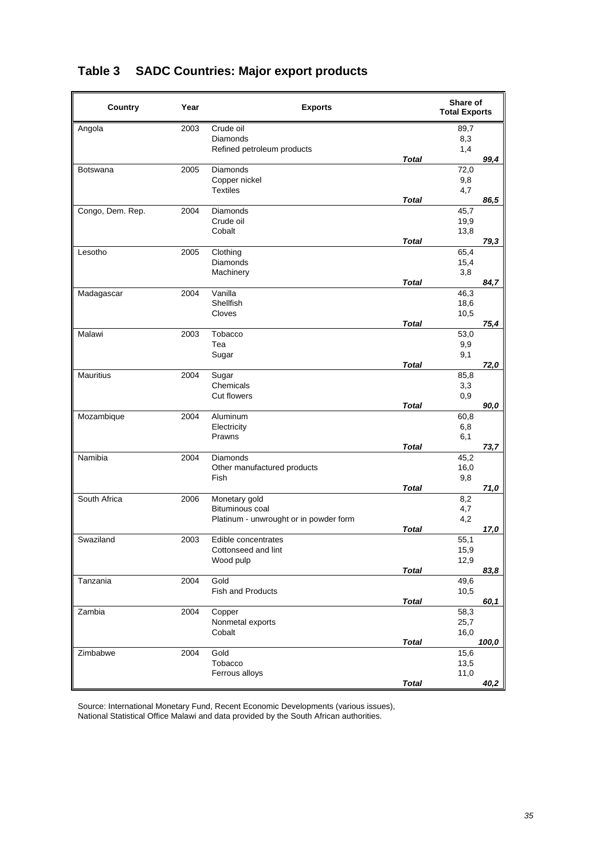| Country          | Year | <b>Exports</b>                         |              | Share of<br><b>Total Exports</b> |       |
|------------------|------|----------------------------------------|--------------|----------------------------------|-------|
| Angola           | 2003 | Crude oil                              |              | 89,7                             |       |
|                  |      | Diamonds                               |              | 8,3                              |       |
|                  |      | Refined petroleum products             | <b>Total</b> | 1,4                              | 99,4  |
| <b>Botswana</b>  | 2005 | Diamonds                               |              | 72,0                             |       |
|                  |      | Copper nickel                          |              | 9,8                              |       |
|                  |      | <b>Textiles</b>                        | <b>Total</b> | 4,7                              |       |
| Congo, Dem. Rep. | 2004 | Diamonds                               |              | 45,7                             | 86,5  |
|                  |      | Crude oil                              |              | 19,9                             |       |
|                  |      | Cobalt                                 |              | 13,8                             |       |
|                  |      |                                        | <b>Total</b> |                                  | 79,3  |
| Lesotho          | 2005 | Clothing                               |              | 65,4                             |       |
|                  |      | <b>Diamonds</b>                        |              | 15,4                             |       |
|                  |      | Machinery                              | <b>Total</b> | 3,8                              | 84,7  |
| Madagascar       | 2004 | Vanilla                                |              | 46,3                             |       |
|                  |      | Shellfish                              |              | 18,6                             |       |
|                  |      | Cloves                                 |              | 10,5                             |       |
|                  |      |                                        | <b>Total</b> |                                  | 75,4  |
| Malawi           | 2003 | Tobacco<br>Tea                         |              | 53,0<br>9,9                      |       |
|                  |      | Sugar                                  |              | 9,1                              |       |
|                  |      |                                        | <b>Total</b> |                                  | 72,0  |
| <b>Mauritius</b> | 2004 | Sugar                                  |              | 85,8                             |       |
|                  |      | Chemicals                              |              | 3,3                              |       |
|                  |      | <b>Cut flowers</b>                     |              | 0,9                              |       |
|                  | 2004 | Aluminum                               | <b>Total</b> |                                  | 90,0  |
| Mozambique       |      | Electricity                            |              | 60,8<br>6,8                      |       |
|                  |      | Prawns                                 |              | 6,1                              |       |
|                  |      |                                        | <b>Total</b> |                                  | 73,7  |
| Namibia          | 2004 | Diamonds                               |              | 45,2                             |       |
|                  |      | Other manufactured products            |              | 16,0                             |       |
|                  |      | Fish                                   | Total        | 9,8                              | 71,0  |
| South Africa     | 2006 | Monetary gold                          |              | 8,2                              |       |
|                  |      | Bituminous coal                        |              | 4,7                              |       |
|                  |      | Platinum - unwrought or in powder form |              | 4,2                              |       |
|                  |      |                                        | <b>Total</b> |                                  | 17,0  |
| Swaziland        | 2003 | Edible concentrates                    |              | 55,1                             |       |
|                  |      | Cottonseed and lint<br>Wood pulp       |              | 15,9<br>12,9                     |       |
|                  |      |                                        | <b>Total</b> |                                  | 83,8  |
| Tanzania         | 2004 | Gold                                   |              | 49,6                             |       |
|                  |      | <b>Fish and Products</b>               |              | 10,5                             |       |
|                  |      |                                        | <b>Total</b> |                                  | 60,1  |
| Zambia           | 2004 | Copper<br>Nonmetal exports             |              | 58,3<br>25,7                     |       |
|                  |      | Cobalt                                 |              | 16,0                             |       |
|                  |      |                                        | <b>Total</b> |                                  | 100,0 |
| Zimbabwe         | 2004 | Gold                                   |              | 15,6                             |       |
|                  |      | Tobacco                                |              | 13,5                             |       |
|                  |      | Ferrous alloys                         |              | 11,0                             |       |
|                  |      |                                        | <b>Total</b> |                                  | 40,2  |

## <span id="page-37-0"></span>**Table 3 SADC Countries: Major export products**

Source: International Monetary Fund, Recent Economic Developments (various issues), National Statistical Office Malawi and data provided by the South African authorities.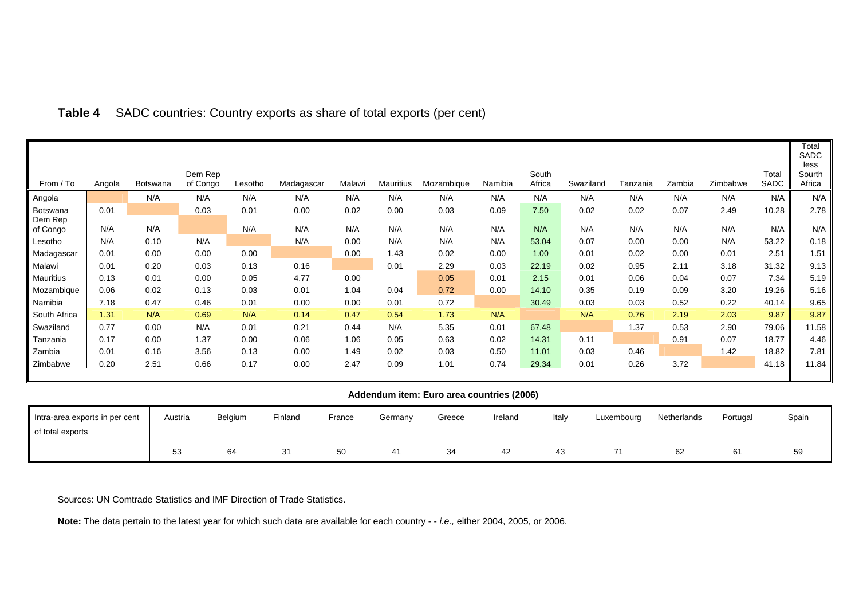| From / To           | Angola                                    | Botswana | Dem Rep<br>of Congo | Lesotho | Madagascar | Malawi | Mauritius | Mozambique | Namibia | South<br>Africa | Swaziland | Tanzania | Zambia | Zimbabwe | Total<br>SADC | Total<br>SADC<br>less<br>Sourth<br>Africa |
|---------------------|-------------------------------------------|----------|---------------------|---------|------------|--------|-----------|------------|---------|-----------------|-----------|----------|--------|----------|---------------|-------------------------------------------|
|                     |                                           | N/A      | N/A                 | N/A     | N/A        | N/A    | N/A       | N/A        | N/A     | N/A             | N/A       | N/A      | N/A    | N/A      | N/A           | N/A                                       |
| Angola              | 0.01                                      |          |                     |         |            | 0.02   |           |            |         | 7.50            |           |          | 0.07   |          |               |                                           |
| Botswana<br>Dem Rep |                                           |          | 0.03                | 0.01    | 0.00       |        | 0.00      | 0.03       | 0.09    |                 | 0.02      | 0.02     |        | 2.49     | 10.28         | 2.78                                      |
| of Congo            | N/A                                       | N/A      |                     | N/A     | N/A        | N/A    | N/A       | N/A        | N/A     | N/A             | N/A       | N/A      | N/A    | N/A      | N/A           | N/A                                       |
| Lesotho             | N/A                                       | 0.10     | N/A                 |         | N/A        | 0.00   | N/A       | N/A        | N/A     | 53.04           | 0.07      | 0.00     | 0.00   | N/A      | 53.22         | 0.18                                      |
| Madagascar          | 0.01                                      | 0.00     | 0.00                | 0.00    |            | 0.00   | 1.43      | 0.02       | 0.00    | 1.00            | 0.01      | 0.02     | 0.00   | 0.01     | 2.51          | 1.51                                      |
| Malawi              | 0.01                                      | 0.20     | 0.03                | 0.13    | 0.16       |        | 0.01      | 2.29       | 0.03    | 22.19           | 0.02      | 0.95     | 2.11   | 3.18     | 31.32         | 9.13                                      |
| Mauritius           | 0.13                                      | 0.01     | 0.00                | 0.05    | 4.77       | 0.00   |           | 0.05       | 0.01    | 2.15            | 0.01      | 0.06     | 0.04   | 0.07     | 7.34          | 5.19                                      |
| Mozambique          | 0.06                                      | 0.02     | 0.13                | 0.03    | 0.01       | 1.04   | 0.04      | 0.72       | 0.00    | 14.10           | 0.35      | 0.19     | 0.09   | 3.20     | 19.26         | 5.16                                      |
| Namibia             | 7.18                                      | 0.47     | 0.46                | 0.01    | 0.00       | 0.00   | 0.01      | 0.72       |         | 30.49           | 0.03      | 0.03     | 0.52   | 0.22     | 40.14         | 9.65                                      |
| South Africa        | 1.31                                      | N/A      | 0.69                | N/A     | 0.14       | 0.47   | 0.54      | 1.73       | N/A     |                 | N/A       | 0.76     | 2.19   | 2.03     | 9.87          | 9.87                                      |
| Swaziland           | 0.77                                      | 0.00     | N/A                 | 0.01    | 0.21       | 0.44   | N/A       | 5.35       | 0.01    | 67.48           |           | 1.37     | 0.53   | 2.90     | 79.06         | 11.58                                     |
| Tanzania            | 0.17                                      | 0.00     | 1.37                | 0.00    | 0.06       | 1.06   | 0.05      | 0.63       | 0.02    | 14.31           | 0.11      |          | 0.91   | 0.07     | 18.77         | 4.46                                      |
| Zambia              | 0.01                                      | 0.16     | 3.56                | 0.13    | 0.00       | 1.49   | 0.02      | 0.03       | 0.50    | 11.01           | 0.03      | 0.46     |        | 1.42     | 18.82         | 7.81                                      |
| Zimbabwe            | 0.20                                      | 2.51     | 0.66                | 0.17    | 0.00       | 2.47   | 0.09      | 1.01       | 0.74    | 29.34           | 0.01      | 0.26     | 3.72   |          | 41.18         | 11.84                                     |
|                     |                                           |          |                     |         |            |        |           |            |         |                 |           |          |        |          |               |                                           |
|                     | Addendum item: Euro area countries (2006) |          |                     |         |            |        |           |            |         |                 |           |          |        |          |               |                                           |

## **Table 4** SADC countries: Country exports as share of total exports (per cent)

Intra-area exports in per cent of total exports Austria Belgium Finland France Germany Greece Ireland Italy Luxembourg Netherlands Portugal Spain 53 64 31 50 41 34 42 43 71 62 61 59 59

Sources: UN Comtrade Statistics and IMF Direction of Trade Statistics.

<span id="page-38-0"></span>**Note:** The data pertain to the latest year for which such data are available for each country - - *i.e.,* either 2004, 2005, or 2006.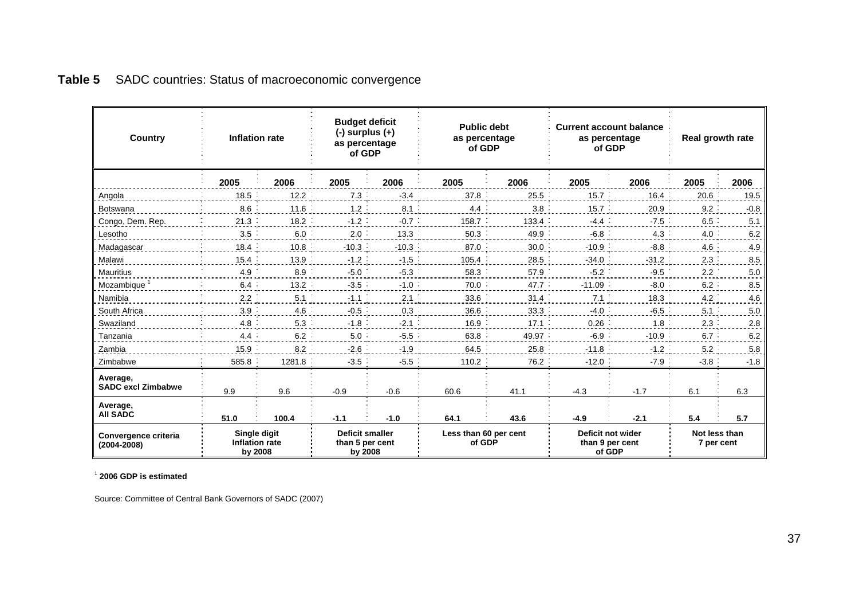| <b>Inflation rate</b><br>Country        |                                           | <b>Budget deficit</b><br>$(-)$ surplus $(+)$<br>as percentage<br>of GDP |                                                      | <b>Public debt</b><br>as percentage<br>of GDP |                                 | <b>Current account balance</b><br>as percentage<br>of GDP |                                                | Real growth rate |                             |        |
|-----------------------------------------|-------------------------------------------|-------------------------------------------------------------------------|------------------------------------------------------|-----------------------------------------------|---------------------------------|-----------------------------------------------------------|------------------------------------------------|------------------|-----------------------------|--------|
|                                         | 2005                                      | 2006                                                                    | 2005                                                 | 2006                                          | 2005                            | 2006                                                      | 2005                                           | 2006             | 2005                        | 2006   |
| Angola                                  | 18.5                                      | 12.2                                                                    | 7.3                                                  | $-3.4$                                        | 37.8                            | 25.5                                                      | 15.7                                           | 16.4             | 20.6                        | 19.5   |
| Botswana                                | 8.6                                       | 11.6                                                                    | $1.2$ :                                              | 8.1                                           | 4.4                             | 3.8                                                       | 15.7                                           | 20.9             | 9.2                         | $-0.8$ |
| Congo, Dem. Rep.                        | 21.3                                      | 18.2                                                                    | $-1.2$ :                                             | $-0.7$                                        | 158.7                           | 133.4                                                     | $-4.4$                                         | $-7.5$           | 6.5                         | 5.1    |
| Lesotho                                 | 3.5                                       | 6.0                                                                     | 2.0                                                  | 13.3                                          | 50.3                            | 49.9                                                      | $-6.8$                                         | 4.3              | 4.0                         | 6.2    |
| Madagascar                              | 18.4                                      | 10.8                                                                    | $-10.3$                                              | $-10.3$                                       | 87.0                            | 30.0                                                      | $-10.9$                                        | $-8.8$           | 4.6                         | 4.9    |
| Malawi                                  | 15.4                                      | 13.9                                                                    | $-1.2$                                               | $-1.5$                                        | 105.4                           | 28.5                                                      | $-34.0$                                        | $-31.2$          | 2.3                         | 8.5    |
| Mauritius                               | 4.9                                       | 8.9                                                                     | $-5.0$                                               | $-5.3$                                        | 58.3                            | 57.9                                                      | $-5.2$                                         | $-9.5$           | 2.2                         | 5.0    |
| Mozambique <sup>1</sup>                 | 6.4                                       | 13.2                                                                    | $-3.5$                                               | $-1.0$ :                                      | 70.0                            | 47.7                                                      | $-11.09$                                       | $-8.0$           | $6.2$ :                     | 8.5    |
| Namibia                                 | 2.2                                       | $5.1$ :                                                                 | $-1.1$                                               | 2.1                                           | 33.6                            | 31.4                                                      | 7.1                                            | 18.3             | 4.2                         | 4.6    |
| South Africa                            | 3.9                                       | 4.6                                                                     | $-0.5$                                               | 0.3                                           | 36.6                            | 33.3                                                      | $-4.0$                                         | $-6.5$           | 5.1                         | 5.0    |
| Swaziland                               | 4.8                                       | 5.3                                                                     | $-1.8$                                               | $-2.1$                                        | 16.9                            | 17.1                                                      | 0.26                                           | 1.8              | 2.3                         | 2.8    |
| Tanzania                                | 4.4                                       | 6.2                                                                     | 5.0                                                  | $-5.5$                                        | 63.8                            | 49.97                                                     | $-6.9$                                         | $-10.9$          | $6.7$ :                     | 6.2    |
| Zambia                                  | 15.9                                      | 8.2                                                                     | $-2.6$                                               | $-1.9$                                        | 64.5                            | 25.8                                                      | $-11.8$                                        | $-1.2$           | 5.2                         | 5.8    |
| Zimbabwe                                | 585.8                                     | 1281.8                                                                  | $-3.5$                                               | $-5.5$ :                                      | 110.2                           | 76.2                                                      | $-12.0$                                        | $-7.9$           | $-3.8$                      | $-1.8$ |
| Average,<br><b>SADC excl Zimbabwe</b>   | 9.9                                       | 9.6                                                                     | $-0.9$                                               | $-0.6$                                        | 60.6                            | 41.1                                                      | $-4.3$                                         | $-1.7$           | 6.1                         | 6.3    |
| Average,<br><b>AII SADC</b>             | 51.0                                      | 100.4                                                                   | $-1.1$                                               | $-1.0$                                        | 64.1                            | 43.6                                                      | $-4.9$                                         | $-2.1$           | 5.4                         | 5.7    |
| Convergence criteria<br>$(2004 - 2008)$ | Single digit<br>Inflation rate<br>by 2008 |                                                                         | <b>Deficit smaller</b><br>than 5 per cent<br>by 2008 |                                               | Less than 60 per cent<br>of GDP |                                                           | Deficit not wider<br>than 9 per cent<br>of GDP |                  | Not less than<br>7 per cent |        |

## **Table 5** SADC countries: Status of macroeconomic convergence

1 **2006 GDP is estimated** 

<span id="page-39-0"></span>Source: Committee of Central Bank Governors of SADC (2007)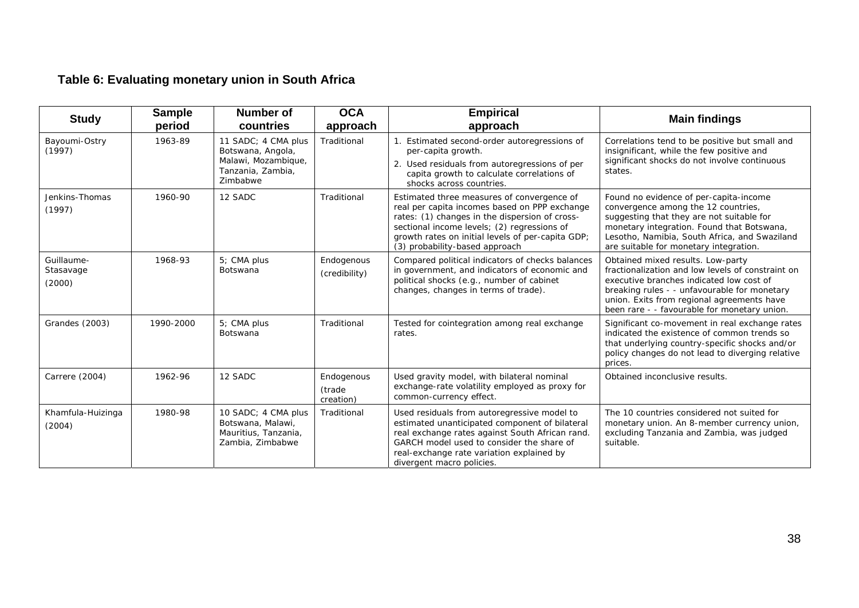# **Table 6: Evaluating monetary union in South Africa**

<span id="page-40-0"></span>

| <b>Study</b>                      | <b>Sample</b><br>period | <b>Number of</b><br>countries                                                                    | <b>OCA</b><br>approach            | <b>Empirical</b><br>approach                                                                                                                                                                                                                                                        | <b>Main findings</b>                                                                                                                                                                                                                                                             |
|-----------------------------------|-------------------------|--------------------------------------------------------------------------------------------------|-----------------------------------|-------------------------------------------------------------------------------------------------------------------------------------------------------------------------------------------------------------------------------------------------------------------------------------|----------------------------------------------------------------------------------------------------------------------------------------------------------------------------------------------------------------------------------------------------------------------------------|
| Bayoumi-Ostry<br>(1997)           | 1963-89                 | 11 SADC: 4 CMA plus<br>Botswana, Angola,<br>Malawi, Mozambique,<br>Tanzania, Zambia,<br>Zimbabwe | Traditional                       | Estimated second-order autoregressions of<br>per-capita growth.<br>2. Used residuals from autoregressions of per<br>capita growth to calculate correlations of<br>shocks across countries.                                                                                          | Correlations tend to be positive but small and<br>insignificant, while the few positive and<br>significant shocks do not involve continuous<br>states.                                                                                                                           |
| Jenkins-Thomas<br>(1997)          | 1960-90                 | 12 SADC                                                                                          | Traditional                       | Estimated three measures of convergence of<br>real per capita incomes based on PPP exchange<br>rates: (1) changes in the dispersion of cross-<br>sectional income levels; (2) regressions of<br>growth rates on initial levels of per-capita GDP;<br>(3) probability-based approach | Found no evidence of per-capita-income<br>convergence among the 12 countries,<br>suggesting that they are not suitable for<br>monetary integration. Found that Botswana,<br>Lesotho, Namibia, South Africa, and Swaziland<br>are suitable for monetary integration.              |
| Guillaume-<br>Stasavage<br>(2000) | 1968-93                 | 5; CMA plus<br><b>Botswana</b>                                                                   | Endogenous<br>(credibility)       | Compared political indicators of checks balances<br>in government, and indicators of economic and<br>political shocks (e.g., number of cabinet<br>changes, changes in terms of trade).                                                                                              | Obtained mixed results. Low-party<br>fractionalization and low levels of constraint on<br>executive branches indicated low cost of<br>breaking rules - - unfavourable for monetary<br>union. Exits from regional agreements have<br>been rare - - favourable for monetary union. |
| Grandes (2003)                    | 1990-2000               | 5; CMA plus<br>Botswana                                                                          | Traditional                       | Tested for cointegration among real exchange<br>rates.                                                                                                                                                                                                                              | Significant co-movement in real exchange rates<br>indicated the existence of common trends so<br>that underlying country-specific shocks and/or<br>policy changes do not lead to diverging relative<br>prices.                                                                   |
| Carrere (2004)                    | 1962-96                 | 12 SADC                                                                                          | Endogenous<br>(trade<br>creation) | Used gravity model, with bilateral nominal<br>exchange-rate volatility employed as proxy for<br>common-currency effect.                                                                                                                                                             | Obtained inconclusive results.                                                                                                                                                                                                                                                   |
| Khamfula-Huizinga<br>(2004)       | 1980-98                 | 10 SADC: 4 CMA plus<br>Botswana, Malawi,<br>Mauritius, Tanzania,<br>Zambia, Zimbabwe             | Traditional                       | Used residuals from autoregressive model to<br>estimated unanticipated component of bilateral<br>real exchange rates against South African rand.<br>GARCH model used to consider the share of<br>real-exchange rate variation explained by<br>divergent macro policies.             | The 10 countries considered not suited for<br>monetary union. An 8-member currency union,<br>excluding Tanzania and Zambia, was judged<br>suitable.                                                                                                                              |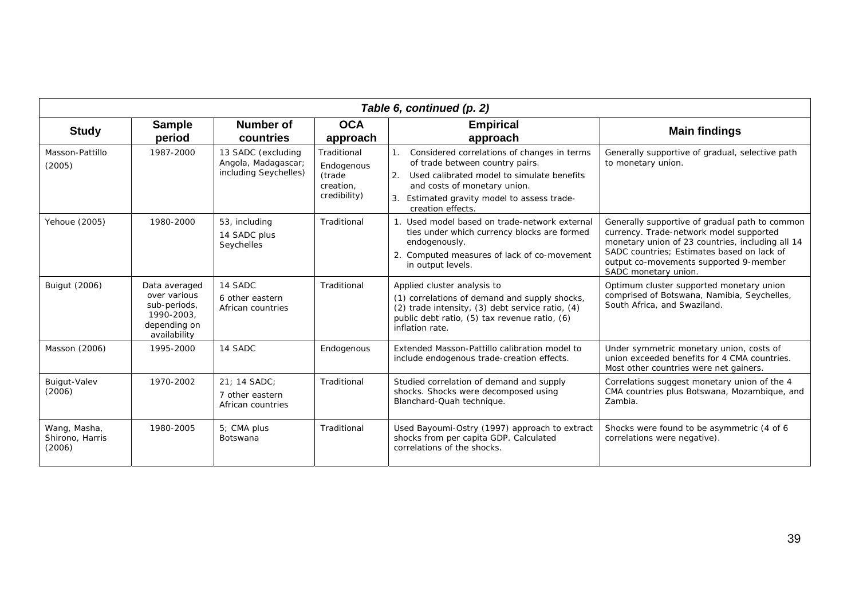|                                           | Table 6, continued (p. 2)                                                                   |                                                                    |                                                                  |                                                                                                                                                                                                                                     |                                                                                                                                                                                                                                                               |  |  |  |  |  |  |
|-------------------------------------------|---------------------------------------------------------------------------------------------|--------------------------------------------------------------------|------------------------------------------------------------------|-------------------------------------------------------------------------------------------------------------------------------------------------------------------------------------------------------------------------------------|---------------------------------------------------------------------------------------------------------------------------------------------------------------------------------------------------------------------------------------------------------------|--|--|--|--|--|--|
| <b>Study</b>                              | <b>Sample</b><br>period                                                                     | Number of<br>countries                                             | <b>OCA</b><br>approach                                           | <b>Empirical</b><br>approach                                                                                                                                                                                                        | <b>Main findings</b>                                                                                                                                                                                                                                          |  |  |  |  |  |  |
| Masson-Pattillo<br>(2005)                 | 1987-2000                                                                                   | 13 SADC (excluding<br>Angola, Madagascar;<br>including Seychelles) | Traditional<br>Endogenous<br>(trade<br>creation,<br>credibility) | Considered correlations of changes in terms<br>of trade between country pairs.<br>Used calibrated model to simulate benefits<br>2.<br>and costs of monetary union.<br>Estimated gravity model to assess trade-<br>creation effects. | Generally supportive of gradual, selective path<br>to monetary union.                                                                                                                                                                                         |  |  |  |  |  |  |
| Yehoue (2005)                             | 1980-2000                                                                                   | 53, including<br>14 SADC plus<br>Seychelles                        | Traditional                                                      | 1. Used model based on trade-network external<br>ties under which currency blocks are formed<br>endogenously.<br>2. Computed measures of lack of co-movement<br>in output levels.                                                   | Generally supportive of gradual path to common<br>currency. Trade-network model supported<br>monetary union of 23 countries, including all 14<br>SADC countries; Estimates based on lack of<br>output co-movements supported 9-member<br>SADC monetary union. |  |  |  |  |  |  |
| <b>Buigut (2006)</b>                      | Data averaged<br>over various<br>sub-periods,<br>1990-2003,<br>depending on<br>availability | 14 SADC<br>6 other eastern<br>African countries                    | Traditional                                                      | Applied cluster analysis to<br>(1) correlations of demand and supply shocks,<br>(2) trade intensity, (3) debt service ratio, (4)<br>public debt ratio, (5) tax revenue ratio, (6)<br>inflation rate.                                | Optimum cluster supported monetary union<br>comprised of Botswana, Namibia, Seychelles,<br>South Africa, and Swaziland.                                                                                                                                       |  |  |  |  |  |  |
| Masson (2006)                             | 1995-2000                                                                                   | 14 SADC                                                            | Endogenous                                                       | Extended Masson-Pattillo calibration model to<br>include endogenous trade-creation effects.                                                                                                                                         | Under symmetric monetary union, costs of<br>union exceeded benefits for 4 CMA countries.<br>Most other countries were net gainers.                                                                                                                            |  |  |  |  |  |  |
| Buigut-Valev<br>(2006)                    | 1970-2002                                                                                   | 21; 14 SADC;<br>7 other eastern<br>African countries               | Traditional                                                      | Studied correlation of demand and supply<br>shocks. Shocks were decomposed using<br>Blanchard-Quah technique.                                                                                                                       | Correlations suggest monetary union of the 4<br>CMA countries plus Botswana, Mozambique, and<br>Zambia.                                                                                                                                                       |  |  |  |  |  |  |
| Wang, Masha,<br>Shirono, Harris<br>(2006) | 1980-2005                                                                                   | 5; CMA plus<br><b>Botswana</b>                                     | Traditional                                                      | Used Bayoumi-Ostry (1997) approach to extract<br>shocks from per capita GDP. Calculated<br>correlations of the shocks.                                                                                                              | Shocks were found to be asymmetric (4 of 6<br>correlations were negative).                                                                                                                                                                                    |  |  |  |  |  |  |